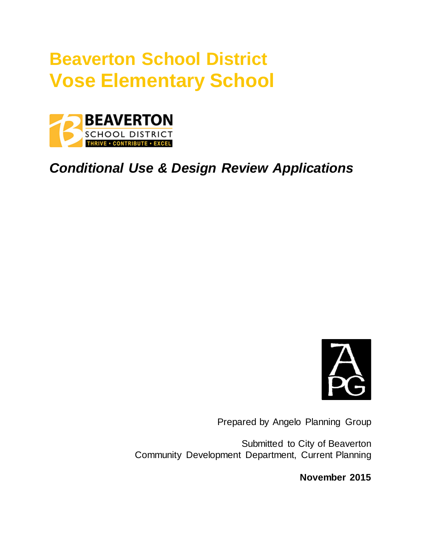# **Beaverton School District Vose Elementary School**



*Conditional Use & Design Review Applications*



Prepared by Angelo Planning Group

Submitted to City of Beaverton Community Development Department, Current Planning

**November 2015**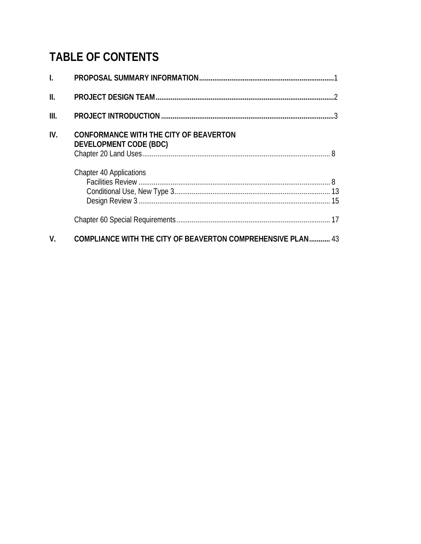# **TABLE OF CONTENTS**

| $\mathbf{I}$ . |                                                                         |
|----------------|-------------------------------------------------------------------------|
| II.            |                                                                         |
| III.           |                                                                         |
| IV.            | <b>CONFORMANCE WITH THE CITY OF BEAVERTON</b><br>DEVELOPMENT CODE (BDC) |
|                | <b>Chapter 40 Applications</b>                                          |
|                |                                                                         |
| V.             | <b>COMPLIANCE WITH THE CITY OF BEAVERTON COMPREHENSIVE PLAN 43</b>      |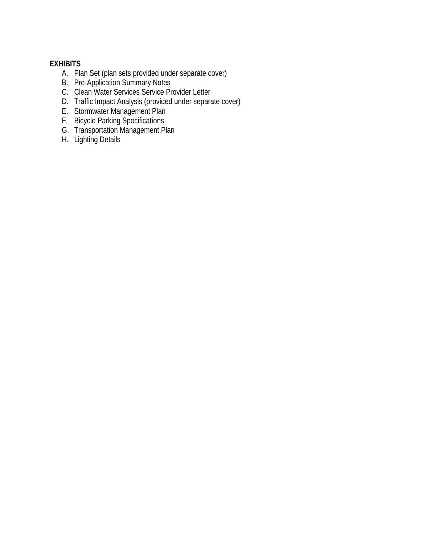#### **EXHIBITS**

- A. Plan Set (plan sets provided under separate cover)
- B. Pre-Application Summary Notes
- C. Clean Water Services Service Provider Letter
- D. Traffic Impact Analysis (provided under separate cover)
- E. Stormwater Management Plan
- F. Bicycle Parking Specifications
- G. Transportation Management Plan
- H. Lighting Details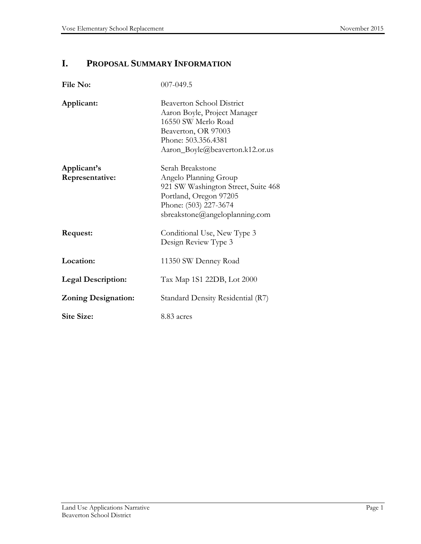# **I. PROPOSAL SUMMARY INFORMATION**

| File No:                       | 007-049.5                                                                                                                                                                |
|--------------------------------|--------------------------------------------------------------------------------------------------------------------------------------------------------------------------|
| Applicant:                     | <b>Beaverton School District</b><br>Aaron Boyle, Project Manager<br>16550 SW Merlo Road<br>Beaverton, OR 97003<br>Phone: 503.356.4381<br>Aaron_Boyle@beaverton.k12.or.us |
| Applicant's<br>Representative: | Serah Breakstone<br>Angelo Planning Group<br>921 SW Washington Street, Suite 468<br>Portland, Oregon 97205<br>Phone: (503) 227-3674<br>sbreakstone@angeloplanning.com    |
| Request:                       | Conditional Use, New Type 3<br>Design Review Type 3                                                                                                                      |
| Location:                      | 11350 SW Denney Road                                                                                                                                                     |
| <b>Legal Description:</b>      | Tax Map 1S1 22DB, Lot 2000                                                                                                                                               |
| <b>Zoning Designation:</b>     | Standard Density Residential (R7)                                                                                                                                        |
| <b>Site Size:</b>              | 8.83 acres                                                                                                                                                               |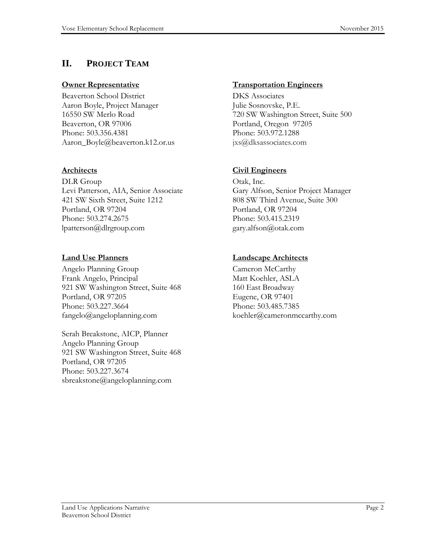# **II. PROJECT TEAM**

#### **Owner Representative**

Beaverton School District Aaron Boyle, Project Manager 16550 SW Merlo Road Beaverton, OR 97006 Phone: 503.356.4381 Aaron\_Boyle@beaverton.k12.or.us

#### **Architects**

DLR Group Levi Patterson, AIA, Senior Associate 421 SW Sixth Street, Suite 1212 Portland, OR 97204 Phone: 503.274.2675 lpatterson@dlrgroup.com

#### **Land Use Planners**

Angelo Planning Group Frank Angelo, Principal 921 SW Washington Street, Suite 468 Portland, OR 97205 Phone: 503.227.3664 fangelo@angeloplanning.com

Serah Breakstone, AICP, Planner Angelo Planning Group 921 SW Washington Street, Suite 468 Portland, OR 97205 Phone: 503.227.3674 sbreakstone@angeloplanning.com

#### **Transportation Engineers**

DKS Associates Julie Sosnovske, P.E. 720 SW Washington Street, Suite 500 Portland, Oregon 97205 Phone: 503.972.1288 jxs@dksassociates.com

#### **Civil Engineers**

Otak, Inc. Gary Alfson, Senior Project Manager 808 SW Third Avenue, Suite 300 Portland, OR 97204 Phone: 503.415.2319 gary.alfson@otak.com

#### **Landscape Architects**

Cameron McCarthy Matt Koehler, ASLA 160 East Broadway Eugene, OR 97401 Phone: 503.485.7385 koehler@cameronmccarthy.com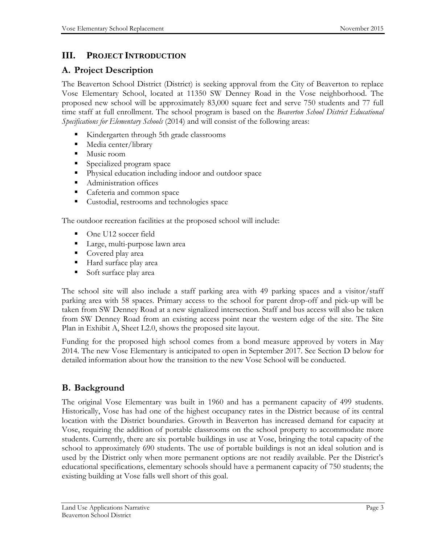# **III. PROJECT INTRODUCTION**

# **A. Project Description**

The Beaverton School District (District) is seeking approval from the City of Beaverton to replace Vose Elementary School, located at 11350 SW Denney Road in the Vose neighborhood. The proposed new school will be approximately 83,000 square feet and serve 750 students and 77 full time staff at full enrollment. The school program is based on the *Beaverton School District Educational Specifications for Elementary Schools* (2014) and will consist of the following areas:

- Kindergarten through 5th grade classrooms
- Media center/library
- **Music room**
- **Specialized program space**
- **Physical education including indoor and outdoor space**
- Administration offices
- Cafeteria and common space
- Custodial, restrooms and technologies space

The outdoor recreation facilities at the proposed school will include:

- One U12 soccer field
- Large, multi-purpose lawn area
- Covered play area
- Hard surface play area
- **Soft surface play area**

The school site will also include a staff parking area with 49 parking spaces and a visitor/staff parking area with 58 spaces. Primary access to the school for parent drop-off and pick-up will be taken from SW Denney Road at a new signalized intersection. Staff and bus access will also be taken from SW Denney Road from an existing access point near the western edge of the site. The Site Plan in Exhibit A, Sheet L2.0, shows the proposed site layout.

Funding for the proposed high school comes from a bond measure approved by voters in May 2014. The new Vose Elementary is anticipated to open in September 2017. See Section D below for detailed information about how the transition to the new Vose School will be conducted.

# **B. Background**

The original Vose Elementary was built in 1960 and has a permanent capacity of 499 students. Historically, Vose has had one of the highest occupancy rates in the District because of its central location with the District boundaries. Growth in Beaverton has increased demand for capacity at Vose, requiring the addition of portable classrooms on the school property to accommodate more students. Currently, there are six portable buildings in use at Vose, bringing the total capacity of the school to approximately 690 students. The use of portable buildings is not an ideal solution and is used by the District only when more permanent options are not readily available. Per the District's educational specifications, elementary schools should have a permanent capacity of 750 students; the existing building at Vose falls well short of this goal.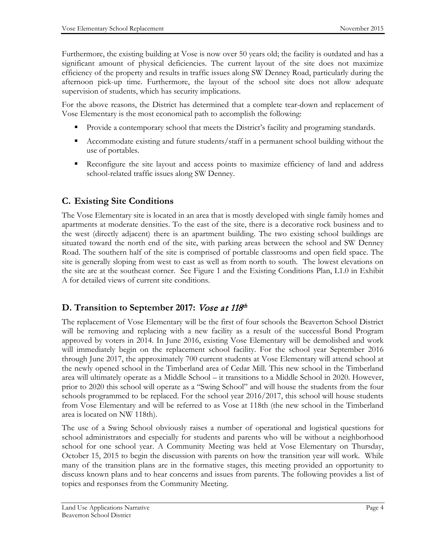Furthermore, the existing building at Vose is now over 50 years old; the facility is outdated and has a significant amount of physical deficiencies. The current layout of the site does not maximize efficiency of the property and results in traffic issues along SW Denney Road, particularly during the afternoon pick-up time. Furthermore, the layout of the school site does not allow adequate supervision of students, which has security implications.

For the above reasons, the District has determined that a complete tear-down and replacement of Vose Elementary is the most economical path to accomplish the following:

- Provide a contemporary school that meets the District's facility and programing standards.
- Accommodate existing and future students/staff in a permanent school building without the use of portables.
- Reconfigure the site layout and access points to maximize efficiency of land and address school-related traffic issues along SW Denney.

# **C. Existing Site Conditions**

The Vose Elementary site is located in an area that is mostly developed with single family homes and apartments at moderate densities. To the east of the site, there is a decorative rock business and to the west (directly adjacent) there is an apartment building. The two existing school buildings are situated toward the north end of the site, with parking areas between the school and SW Denney Road. The southern half of the site is comprised of portable classrooms and open field space. The site is generally sloping from west to east as well as from north to south. The lowest elevations on the site are at the southeast corner. See Figure 1 and the Existing Conditions Plan, L1.0 in Exhibit A for detailed views of current site conditions.

# **D.** Transition to September 2017: *Vose at 118th*

The replacement of Vose Elementary will be the first of four schools the Beaverton School District will be removing and replacing with a new facility as a result of the successful Bond Program approved by voters in 2014. In June 2016, existing Vose Elementary will be demolished and work will immediately begin on the replacement school facility. For the school year September 2016 through June 2017, the approximately 700 current students at Vose Elementary will attend school at the newly opened school in the Timberland area of Cedar Mill. This new school in the Timberland area will ultimately operate as a Middle School – it transitions to a Middle School in 2020. However, prior to 2020 this school will operate as a "Swing School" and will house the students from the four schools programmed to be replaced. For the school year 2016/2017, this school will house students from Vose Elementary and will be referred to as Vose at 118th (the new school in the Timberland area is located on NW 118th).

The use of a Swing School obviously raises a number of operational and logistical questions for school administrators and especially for students and parents who will be without a neighborhood school for one school year. A Community Meeting was held at Vose Elementary on Thursday, October 15, 2015 to begin the discussion with parents on how the transition year will work. While many of the transition plans are in the formative stages, this meeting provided an opportunity to discuss known plans and to hear concerns and issues from parents. The following provides a list of topics and responses from the Community Meeting.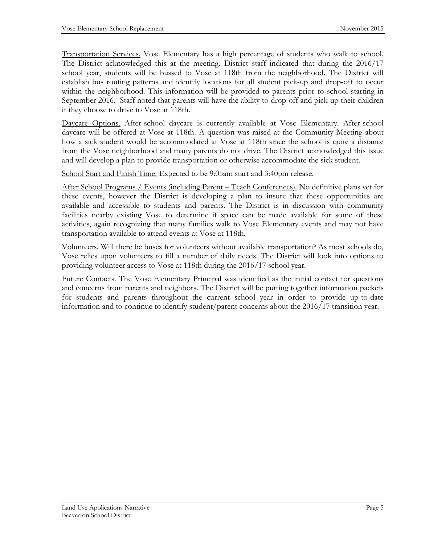Transportation Services. Vose Elementary has a high percentage of students who walk to school. The District acknowledged this at the meeting. District staff indicated that during the 2016/17 school year, students will be bussed to Vose at 118th from the neighborhood. The District will establish bus routing patterns and identify locations for all student pick-up and drop-off to occur within the neighborhood. This information will be provided to parents prior to school starting in September 2016. Staff noted that parents will have the ability to drop-off and pick-up their children if they choose to drive to Vose at 118th.

Daycare Options. After-school daycare is currently available at Vose Elementary. After-school daycare will be offered at Vose at 118th. A question was raised at the Community Meeting about how a sick student would be accommodated at Vose at 118th since the school is quite a distance from the Vose neighborhood and many parents do not drive. The District acknowledged this issue and will develop a plan to provide transportation or otherwise accommodate the sick student.

School Start and Finish Time. Expected to be 9:05am start and 3:40pm release.

After School Programs / Events (including Parent – Teach Conferences). No definitive plans yet for these events, however the District is developing a plan to insure that these opportunities are available and accessible to students and parents. The District is in discussion with community facilities nearby existing Vose to determine if space can be made available for some of these activities, again recognizing that many families walk to Vose Elementary events and may not have transportation available to attend events at Vose at 118th.

Volunteers. Will there be buses for volunteers without available transportation? As most schools do, Vose relies upon volunteers to fill a number of daily needs. The District will look into options to providing volunteer access to Vose at 118th during the 2016/17 school year.

Future Contacts. The Vose Elementary Principal was identified as the initial contact for questions and concerns from parents and neighbors. The District will be putting together information packets for students and parents throughout the current school year in order to provide up-to-date information and to continue to identify student/parent concerns about the 2016/17 transition year.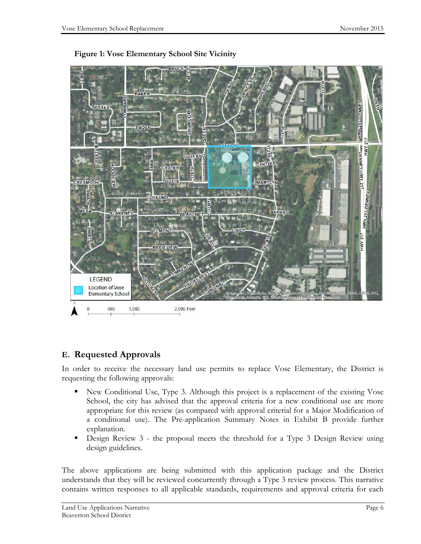



# **E. Requested Approvals**

In order to receive the necessary land use permits to replace Vose Elementary, the District is requesting the following approvals:

- New Conditional Use, Type 3. Although this project is a replacement of the existing Vose School, the city has advised that the approval criteria for a new conditional use are more appropriate for this review (as compared with approval criterial for a Major Modification of a conditional use). The Pre-application Summary Notes in Exhibit B provide further explanation.
- Design Review 3 the proposal meets the threshold for a Type 3 Design Review using design guidelines.

The above applications are being submitted with this application package and the District understands that they will be reviewed concurrently through a Type 3 review process. This narrative contains written responses to all applicable standards, requirements and approval criteria for each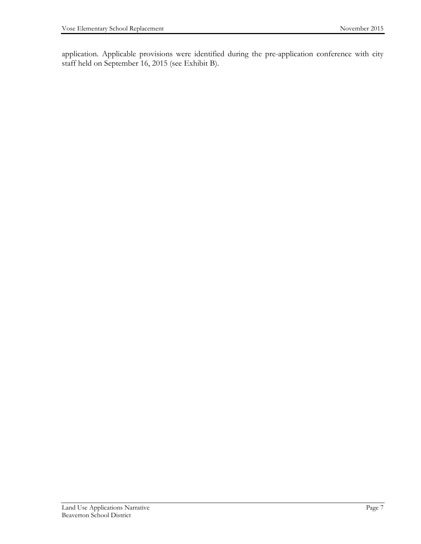application. Applicable provisions were identified during the pre-application conference with city staff held on September 16, 2015 (see Exhibit B).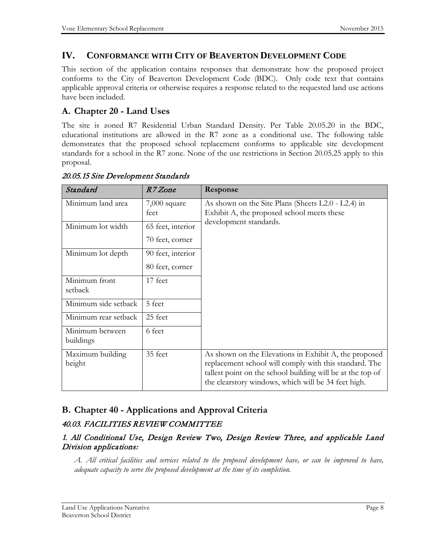# **IV. CONFORMANCE WITH CITY OF BEAVERTON DEVELOPMENT CODE**

This section of the application contains responses that demonstrate how the proposed project conforms to the City of Beaverton Development Code (BDC). Only code text that contains applicable approval criteria or otherwise requires a response related to the requested land use actions have been included.

# **A. Chapter 20 - Land Uses**

The site is zoned R7 Residential Urban Standard Density. Per Table 20.05.20 in the BDC, educational institutions are allowed in the R7 zone as a conditional use. The following table demonstrates that the proposed school replacement conforms to applicable site development standards for a school in the R7 zone. None of the use restrictions in Section 20.05.25 apply to this proposal.

| Standard                     | R7 Zone                              | Response                                                                                                                                                                                                                             |
|------------------------------|--------------------------------------|--------------------------------------------------------------------------------------------------------------------------------------------------------------------------------------------------------------------------------------|
| Minimum land area            | $7,000$ square<br>feet               | As shown on the Site Plans (Sheets L2.0 - L2.4) in<br>Exhibit A, the proposed school meets these                                                                                                                                     |
| Minimum lot width            | 65 feet, interior<br>70 feet, corner | development standards.                                                                                                                                                                                                               |
| Minimum lot depth            | 90 feet, interior<br>80 feet, corner |                                                                                                                                                                                                                                      |
| Minimum front<br>setback     | 17 feet                              |                                                                                                                                                                                                                                      |
| Minimum side setback         | 5 feet                               |                                                                                                                                                                                                                                      |
| Minimum rear setback         | 25 feet                              |                                                                                                                                                                                                                                      |
| Minimum between<br>buildings | 6 feet                               |                                                                                                                                                                                                                                      |
| Maximum building<br>height   | 35 feet                              | As shown on the Elevations in Exhibit A, the proposed<br>replacement school will comply with this standard. The<br>tallest point on the school building will be at the top of<br>the clearstory windows, which will be 34 feet high. |

#### 20.05.15 Site Development Standards

# **B. Chapter 40 - Applications and Approval Criteria**

### 40.03. FACILITIES REVIEW COMMITTEE

#### 1. All Conditional Use, Design Review Two, Design Review Three, and applicable Land Division applications:

*A. All critical facilities and services related to the proposed development have, or can be improved to have, adequate capacity to serve the proposed development at the time of its completion.*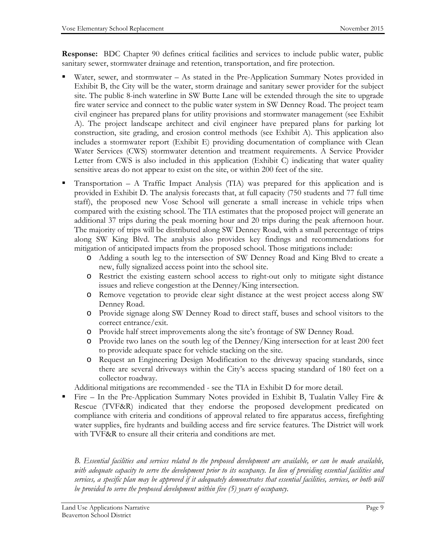**Response:** BDC Chapter 90 defines critical facilities and services to include public water, public sanitary sewer, stormwater drainage and retention, transportation, and fire protection.

- Water, sewer, and stormwater As stated in the Pre-Application Summary Notes provided in Exhibit B, the City will be the water, storm drainage and sanitary sewer provider for the subject site. The public 8-inch waterline in SW Butte Lane will be extended through the site to upgrade fire water service and connect to the public water system in SW Denney Road. The project team civil engineer has prepared plans for utility provisions and stormwater management (see Exhibit A). The project landscape architect and civil engineer have prepared plans for parking lot construction, site grading, and erosion control methods (see Exhibit A). This application also includes a stormwater report (Exhibit E) providing documentation of compliance with Clean Water Services (CWS) stormwater detention and treatment requirements. A Service Provider Letter from CWS is also included in this application (Exhibit C) indicating that water quality sensitive areas do not appear to exist on the site, or within 200 feet of the site.
- Transportation A Traffic Impact Analysis (TIA) was prepared for this application and is provided in Exhibit D. The analysis forecasts that, at full capacity (750 students and 77 full time staff), the proposed new Vose School will generate a small increase in vehicle trips when compared with the existing school. The TIA estimates that the proposed project will generate an additional 37 trips during the peak morning hour and 20 trips during the peak afternoon hour. The majority of trips will be distributed along SW Denney Road, with a small percentage of trips along SW King Blvd. The analysis also provides key findings and recommendations for mitigation of anticipated impacts from the proposed school. Those mitigations include:
	- o Adding a south leg to the intersection of SW Denney Road and King Blvd to create a new, fully signalized access point into the school site.
	- o Restrict the existing eastern school access to right-out only to mitigate sight distance issues and relieve congestion at the Denney/King intersection.
	- o Remove vegetation to provide clear sight distance at the west project access along SW Denney Road.
	- o Provide signage along SW Denney Road to direct staff, buses and school visitors to the correct entrance/exit.
	- o Provide half street improvements along the site's frontage of SW Denney Road.
	- o Provide two lanes on the south leg of the Denney/King intersection for at least 200 feet to provide adequate space for vehicle stacking on the site.
	- o Request an Engineering Design Modification to the driveway spacing standards, since there are several driveways within the City's access spacing standard of 180 feet on a collector roadway.

Additional mitigations are recommended - see the TIA in Exhibit D for more detail.

 Fire – In the Pre-Application Summary Notes provided in Exhibit B, Tualatin Valley Fire & Rescue (TVF&R) indicated that they endorse the proposed development predicated on compliance with criteria and conditions of approval related to fire apparatus access, firefighting water supplies, fire hydrants and building access and fire service features. The District will work with TVF&R to ensure all their criteria and conditions are met.

*B. Essential facilities and services related to the proposed development are available, or can be made available, with adequate capacity to serve the development prior to its occupancy. In lieu of providing essential facilities and services, a specific plan may be approved if it adequately demonstrates that essential facilities, services, or both will be provided to serve the proposed development within five (5) years of occupancy.*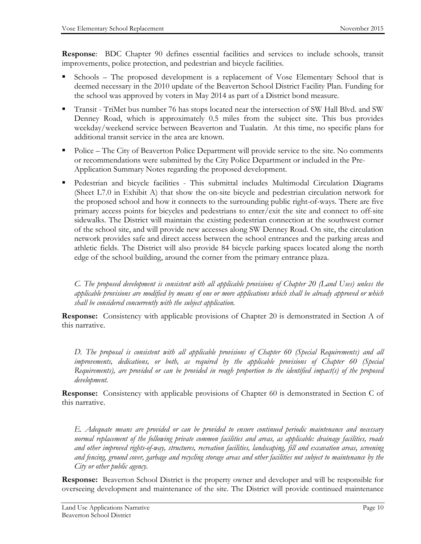**Response**: BDC Chapter 90 defines essential facilities and services to include schools, transit improvements, police protection, and pedestrian and bicycle facilities.

- Schools The proposed development is a replacement of Vose Elementary School that is deemed necessary in the 2010 update of the Beaverton School District Facility Plan. Funding for the school was approved by voters in May 2014 as part of a District bond measure.
- **Transit TriMet bus number 76 has stops located near the intersection of SW Hall Blvd. and SW** Denney Road, which is approximately 0.5 miles from the subject site. This bus provides weekday/weekend service between Beaverton and Tualatin. At this time, no specific plans for additional transit service in the area are known.
- Police The City of Beaverton Police Department will provide service to the site. No comments or recommendations were submitted by the City Police Department or included in the Pre-Application Summary Notes regarding the proposed development.
- Pedestrian and bicycle facilities This submittal includes Multimodal Circulation Diagrams (Sheet L7.0 in Exhibit A) that show the on-site bicycle and pedestrian circulation network for the proposed school and how it connects to the surrounding public right-of-ways. There are five primary access points for bicycles and pedestrians to enter/exit the site and connect to off-site sidewalks. The District will maintain the existing pedestrian connection at the southwest corner of the school site, and will provide new accesses along SW Denney Road. On site, the circulation network provides safe and direct access between the school entrances and the parking areas and athletic fields. The District will also provide 84 bicycle parking spaces located along the north edge of the school building, around the corner from the primary entrance plaza.

*C. The proposed development is consistent with all applicable provisions of Chapter 20 (Land Uses) unless the applicable provisions are modified by means of one or more applications which shall be already approved or which shall be considered concurrently with the subject application.*

**Response:** Consistency with applicable provisions of Chapter 20 is demonstrated in Section A of this narrative.

*D. The proposal is consistent with all applicable provisions of Chapter 60 (Special Requirements) and all improvements, dedications, or both, as required by the applicable provisions of Chapter 60 (Special Requirements), are provided or can be provided in rough proportion to the identified impact(s) of the proposed development.*

**Response:** Consistency with applicable provisions of Chapter 60 is demonstrated in Section C of this narrative.

*E. Adequate means are provided or can be provided to ensure continued periodic maintenance and necessary normal replacement of the following private common facilities and areas, as applicable: drainage facilities, roads and other improved rights-of-way, structures, recreation facilities, landscaping, fill and excavation areas, screening and fencing, ground cover, garbage and recycling storage areas and other facilities not subject to maintenance by the City or other public agency.*

**Response:** Beaverton School District is the property owner and developer and will be responsible for overseeing development and maintenance of the site. The District will provide continued maintenance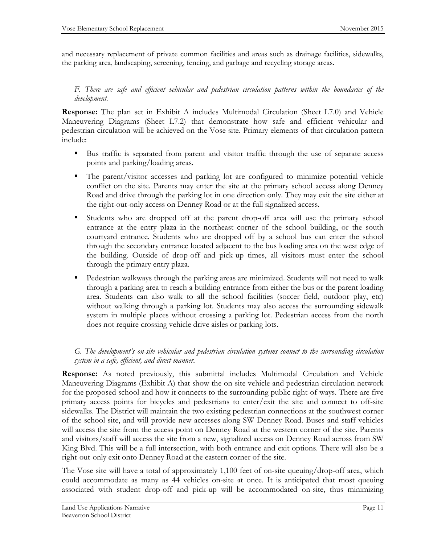and necessary replacement of private common facilities and areas such as drainage facilities, sidewalks, the parking area, landscaping, screening, fencing, and garbage and recycling storage areas.

*F. There are safe and efficient vehicular and pedestrian circulation patterns within the boundaries of the development.*

**Response:** The plan set in Exhibit A includes Multimodal Circulation (Sheet L7.0) and Vehicle Maneuvering Diagrams (Sheet L7.2) that demonstrate how safe and efficient vehicular and pedestrian circulation will be achieved on the Vose site. Primary elements of that circulation pattern include:

- Bus traffic is separated from parent and visitor traffic through the use of separate access points and parking/loading areas.
- The parent/visitor accesses and parking lot are configured to minimize potential vehicle conflict on the site. Parents may enter the site at the primary school access along Denney Road and drive through the parking lot in one direction only. They may exit the site either at the right-out-only access on Denney Road or at the full signalized access.
- Students who are dropped off at the parent drop-off area will use the primary school entrance at the entry plaza in the northeast corner of the school building, or the south courtyard entrance. Students who are dropped off by a school bus can enter the school through the secondary entrance located adjacent to the bus loading area on the west edge of the building. Outside of drop-off and pick-up times, all visitors must enter the school through the primary entry plaza.
- **Pedestrian walkways through the parking areas are minimized. Students will not need to walk** through a parking area to reach a building entrance from either the bus or the parent loading area. Students can also walk to all the school facilities (soccer field, outdoor play, etc) without walking through a parking lot. Students may also access the surrounding sidewalk system in multiple places without crossing a parking lot. Pedestrian access from the north does not require crossing vehicle drive aisles or parking lots.

#### *G. The development's on-site vehicular and pedestrian circulation systems connect to the surrounding circulation system in a safe, efficient, and direct manner.*

**Response:** As noted previously, this submittal includes Multimodal Circulation and Vehicle Maneuvering Diagrams (Exhibit A) that show the on-site vehicle and pedestrian circulation network for the proposed school and how it connects to the surrounding public right-of-ways. There are five primary access points for bicycles and pedestrians to enter/exit the site and connect to off-site sidewalks. The District will maintain the two existing pedestrian connections at the southwest corner of the school site, and will provide new accesses along SW Denney Road. Buses and staff vehicles will access the site from the access point on Denney Road at the western corner of the site. Parents and visitors/staff will access the site from a new, signalized access on Denney Road across from SW King Blvd. This will be a full intersection, with both entrance and exit options. There will also be a right-out-only exit onto Denney Road at the eastern corner of the site.

The Vose site will have a total of approximately 1,100 feet of on-site queuing/drop-off area, which could accommodate as many as 44 vehicles on-site at once. It is anticipated that most queuing associated with student drop-off and pick-up will be accommodated on-site, thus minimizing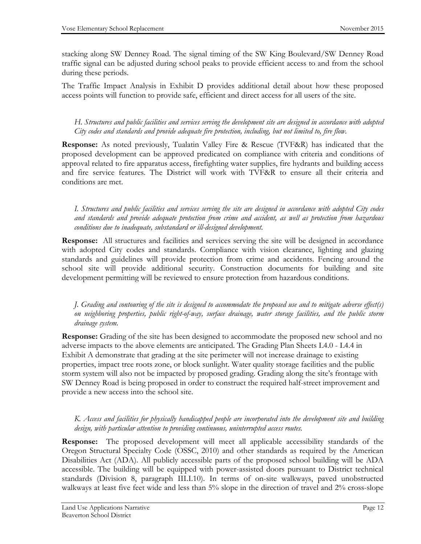stacking along SW Denney Road. The signal timing of the SW King Boulevard/SW Denney Road traffic signal can be adjusted during school peaks to provide efficient access to and from the school during these periods.

The Traffic Impact Analysis in Exhibit D provides additional detail about how these proposed access points will function to provide safe, efficient and direct access for all users of the site.

*H. Structures and public facilities and services serving the development site are designed in accordance with adopted City codes and standards and provide adequate fire protection, including, but not limited to, fire flow.*

**Response:** As noted previously, Tualatin Valley Fire & Rescue (TVF&R) has indicated that the proposed development can be approved predicated on compliance with criteria and conditions of approval related to fire apparatus access, firefighting water supplies, fire hydrants and building access and fire service features. The District will work with TVF&R to ensure all their criteria and conditions are met.

*I. Structures and public facilities and services serving the site are designed in accordance with adopted City codes and standards and provide adequate protection from crime and accident, as well as protection from hazardous conditions due to inadequate, substandard or ill-designed development.*

**Response:** All structures and facilities and services serving the site will be designed in accordance with adopted City codes and standards. Compliance with vision clearance, lighting and glazing standards and guidelines will provide protection from crime and accidents. Fencing around the school site will provide additional security. Construction documents for building and site development permitting will be reviewed to ensure protection from hazardous conditions.

*J. Grading and contouring of the site is designed to accommodate the proposed use and to mitigate adverse effect(s) on neighboring properties, public right-of-way, surface drainage, water storage facilities, and the public storm drainage system.*

**Response:** Grading of the site has been designed to accommodate the proposed new school and no adverse impacts to the above elements are anticipated. The Grading Plan Sheets L4.0 - L4.4 in Exhibit A demonstrate that grading at the site perimeter will not increase drainage to existing properties, impact tree roots zone, or block sunlight. Water quality storage facilities and the public storm system will also not be impacted by proposed grading. Grading along the site's frontage with SW Denney Road is being proposed in order to construct the required half-street improvement and provide a new access into the school site.

#### *K. Access and facilities for physically handicapped people are incorporated into the development site and building design, with particular attention to providing continuous, uninterrupted access routes.*

**Response:** The proposed development will meet all applicable accessibility standards of the Oregon Structural Specialty Code (OSSC, 2010) and other standards as required by the American Disabilities Act (ADA). All publicly accessible parts of the proposed school building will be ADA accessible. The building will be equipped with power-assisted doors pursuant to District technical standards (Division 8, paragraph III.I.10). In terms of on-site walkways, paved unobstructed walkways at least five feet wide and less than 5% slope in the direction of travel and 2% cross-slope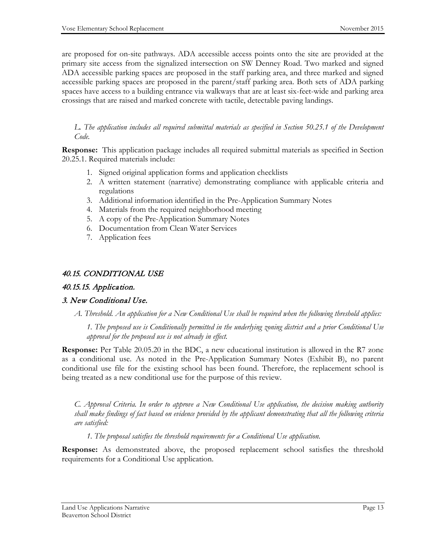are proposed for on-site pathways. ADA accessible access points onto the site are provided at the primary site access from the signalized intersection on SW Denney Road. Two marked and signed ADA accessible parking spaces are proposed in the staff parking area, and three marked and signed accessible parking spaces are proposed in the parent/staff parking area. Both sets of ADA parking spaces have access to a building entrance via walkways that are at least six-feet-wide and parking area crossings that are raised and marked concrete with tactile, detectable paving landings.

*L. The application includes all required submittal materials as specified in Section 50.25.1 of the Development Code.*

**Response:** This application package includes all required submittal materials as specified in Section 20.25.1. Required materials include:

- 1. Signed original application forms and application checklists
- 2. A written statement (narrative) demonstrating compliance with applicable criteria and regulations
- 3. Additional information identified in the Pre-Application Summary Notes
- 4. Materials from the required neighborhood meeting
- 5. A copy of the Pre-Application Summary Notes
- 6. Documentation from Clean Water Services
- 7. Application fees

#### 40.15. CONDITIONAL USE

#### 40.15.15. Application.

#### 3. New Conditional Use.

*A. Threshold. An application for a New Conditional Use shall be required when the following threshold applies:*

*1. The proposed use is Conditionally permitted in the underlying zoning district and a prior Conditional Use approval for the proposed use is not already in effect.*

**Response:** Per Table 20.05.20 in the BDC, a new educational institution is allowed in the R7 zone as a conditional use. As noted in the Pre-Application Summary Notes (Exhibit B), no parent conditional use file for the existing school has been found. Therefore, the replacement school is being treated as a new conditional use for the purpose of this review.

*C. Approval Criteria. In order to approve a New Conditional Use application, the decision making authority shall make findings of fact based on evidence provided by the applicant demonstrating that all the following criteria are satisfied:*

*1. The proposal satisfies the threshold requirements for a Conditional Use application.*

**Response:** As demonstrated above, the proposed replacement school satisfies the threshold requirements for a Conditional Use application.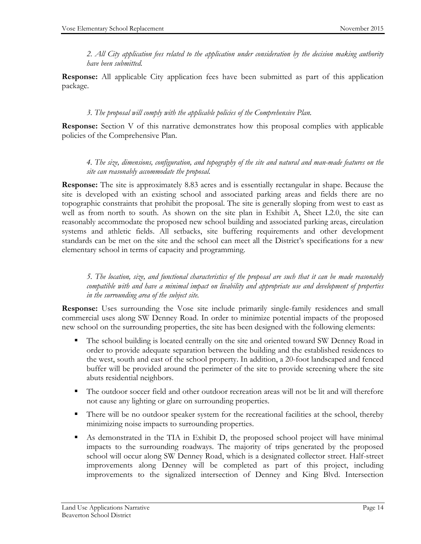*2. All City application fees related to the application under consideration by the decision making authority have been submitted.*

**Response:** All applicable City application fees have been submitted as part of this application package.

#### *3. The proposal will comply with the applicable policies of the Comprehensive Plan.*

**Response:** Section V of this narrative demonstrates how this proposal complies with applicable policies of the Comprehensive Plan.

#### *4. The size, dimensions, configuration, and topography of the site and natural and man-made features on the site can reasonably accommodate the proposal.*

**Response:** The site is approximately 8.83 acres and is essentially rectangular in shape. Because the site is developed with an existing school and associated parking areas and fields there are no topographic constraints that prohibit the proposal. The site is generally sloping from west to east as well as from north to south. As shown on the site plan in Exhibit A, Sheet L2.0, the site can reasonably accommodate the proposed new school building and associated parking areas, circulation systems and athletic fields. All setbacks, site buffering requirements and other development standards can be met on the site and the school can meet all the District's specifications for a new elementary school in terms of capacity and programming.

*5. The location, size, and functional characteristics of the proposal are such that it can be made reasonably compatible with and have a minimal impact on livability and appropriate use and development of properties in the surrounding area of the subject site.* 

**Response:** Uses surrounding the Vose site include primarily single-family residences and small commercial uses along SW Denney Road. In order to minimize potential impacts of the proposed new school on the surrounding properties, the site has been designed with the following elements:

- The school building is located centrally on the site and oriented toward SW Denney Road in order to provide adequate separation between the building and the established residences to the west, south and east of the school property. In addition, a 20-foot landscaped and fenced buffer will be provided around the perimeter of the site to provide screening where the site abuts residential neighbors.
- The outdoor soccer field and other outdoor recreation areas will not be lit and will therefore not cause any lighting or glare on surrounding properties.
- There will be no outdoor speaker system for the recreational facilities at the school, thereby minimizing noise impacts to surrounding properties.
- As demonstrated in the TIA in Exhibit D, the proposed school project will have minimal impacts to the surrounding roadways. The majority of trips generated by the proposed school will occur along SW Denney Road, which is a designated collector street. Half-street improvements along Denney will be completed as part of this project, including improvements to the signalized intersection of Denney and King Blvd. Intersection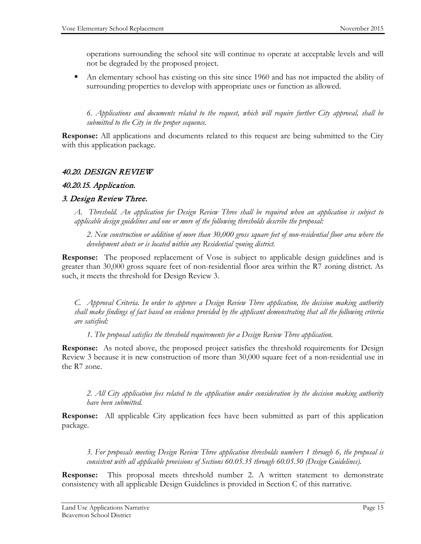operations surrounding the school site will continue to operate at acceptable levels and will not be degraded by the proposed project.

 An elementary school has existing on this site since 1960 and has not impacted the ability of surrounding properties to develop with appropriate uses or function as allowed.

*6. Applications and documents related to the request, which will require further City approval, shall be submitted to the City in the proper sequence.*

**Response:** All applications and documents related to this request are being submitted to the City with this application package.

#### 40.20. DESIGN REVIEW

#### 40.20.15. Application.

#### 3. Design Review Three.

*A. Threshold. An application for Design Review Three shall be required when an application is subject to applicable design guidelines and one or more of the following thresholds describe the proposal:* 

*2. New construction or addition of more than 30,000 gross square feet of non-residential floor area where the development abuts or is located within any Residential zoning district.*

**Response:** The proposed replacement of Vose is subject to applicable design guidelines and is greater than 30,000 gross square feet of non-residential floor area within the R7 zoning district. As such, it meets the threshold for Design Review 3.

*C. Approval Criteria. In order to approve a Design Review Three application, the decision making authority shall make findings of fact based on evidence provided by the applicant demonstrating that all the following criteria are satisfied:* 

*1. The proposal satisfies the threshold requirements for a Design Review Three application.*

**Response:** As noted above, the proposed project satisfies the threshold requirements for Design Review 3 because it is new construction of more than 30,000 square feet of a non-residential use in the R7 zone.

*2. All City application fees related to the application under consideration by the decision making authority have been submitted.* 

**Response:** All applicable City application fees have been submitted as part of this application package.

*3. For proposals meeting Design Review Three application thresholds numbers 1 through 6, the proposal is consistent with all applicable provisions of Sections 60.05.35 through 60.05.50 (Design Guidelines).*

**Response:** This proposal meets threshold number 2. A written statement to demonstrate consistency with all applicable Design Guidelines is provided in Section C of this narrative.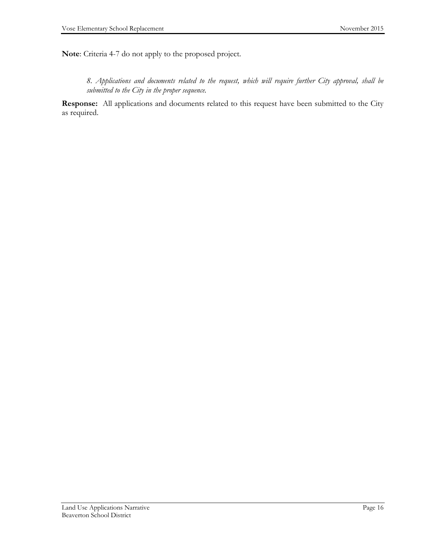**Note**: Criteria 4-7 do not apply to the proposed project.

*8. Applications and documents related to the request, which will require further City approval, shall be submitted to the City in the proper sequence.*

**Response:** All applications and documents related to this request have been submitted to the City as required.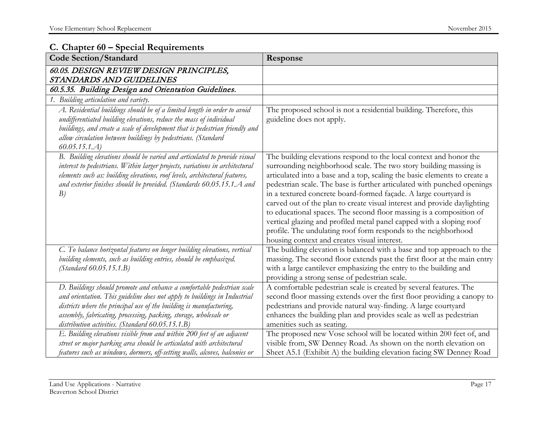#### **C. Chapter 60 – Special Requirements**

| <b>Code Section/Standard</b>                                                                                                                                                                                                                                                                                                                        | Response                                                                                                                                                                                                                                                                                                                                                                                                                                                                                                                                                                                                                                                                                                         |
|-----------------------------------------------------------------------------------------------------------------------------------------------------------------------------------------------------------------------------------------------------------------------------------------------------------------------------------------------------|------------------------------------------------------------------------------------------------------------------------------------------------------------------------------------------------------------------------------------------------------------------------------------------------------------------------------------------------------------------------------------------------------------------------------------------------------------------------------------------------------------------------------------------------------------------------------------------------------------------------------------------------------------------------------------------------------------------|
| 60.05. DESIGN REVIEW DESIGN PRINCIPLES,<br>STANDARDS AND GUIDELINES                                                                                                                                                                                                                                                                                 |                                                                                                                                                                                                                                                                                                                                                                                                                                                                                                                                                                                                                                                                                                                  |
| 60.5.35. Building Design and Orientation Guidelines.                                                                                                                                                                                                                                                                                                |                                                                                                                                                                                                                                                                                                                                                                                                                                                                                                                                                                                                                                                                                                                  |
| 1. Building articulation and variety.                                                                                                                                                                                                                                                                                                               |                                                                                                                                                                                                                                                                                                                                                                                                                                                                                                                                                                                                                                                                                                                  |
| A. Residential buildings should be of a limited length in order to avoid<br>undifferentiated building elevations, reduce the mass of individual<br>buildings, and create a scale of development that is pedestrian friendly and<br>allow circulation between buildings by pedestrians. (Standard<br>60.05.15.1.4                                    | The proposed school is not a residential building. Therefore, this<br>guideline does not apply.                                                                                                                                                                                                                                                                                                                                                                                                                                                                                                                                                                                                                  |
| B. Building elevations should be varied and articulated to provide visual<br>interest to pedestrians. Within larger projects, variations in architectural<br>elements such as: building elevations, roof levels, architectural features,<br>and exterior finishes should be provided. (Standards 60.05.15.1.A and<br>B)                             | The building elevations respond to the local context and honor the<br>surrounding neighborhood scale. The two story building massing is<br>articulated into a base and a top, scaling the basic elements to create a<br>pedestrian scale. The base is further articulated with punched openings<br>in a textured concrete board-formed façade. A large courtyard is<br>carved out of the plan to create visual interest and provide daylighting<br>to educational spaces. The second floor massing is a composition of<br>vertical glazing and profiled metal panel capped with a sloping roof<br>profile. The undulating roof form responds to the neighborhood<br>housing context and creates visual interest. |
| C. To balance horizontal features on longer building elevations, vertical<br>building elements, such as building entries, should be emphasized.<br>$(Standard\ 60.05.15.1.B)$                                                                                                                                                                       | The building elevation is balanced with a base and top approach to the<br>massing. The second floor extends past the first floor at the main entry<br>with a large cantilever emphasizing the entry to the building and<br>providing a strong sense of pedestrian scale.                                                                                                                                                                                                                                                                                                                                                                                                                                         |
| D. Buildings should promote and enhance a comfortable pedestrian scale<br>and orientation. This guideline does not apply to buildings in Industrial<br>districts where the principal use of the building is manufacturing,<br>assembly, fabricating, processing, packing, storage, wholesale or<br>distribution activities. (Standard 60.05.15.1.B) | A comfortable pedestrian scale is created by several features. The<br>second floor massing extends over the first floor providing a canopy to<br>pedestrians and provide natural way-finding. A large courtyard<br>enhances the building plan and provides scale as well as pedestrian<br>amenities such as seating.                                                                                                                                                                                                                                                                                                                                                                                             |
| E. Building elevations visible from and within 200 feet of an adjacent<br>street or major parking area should be articulated with architectural<br>features such as windows, dormers, off-setting walls, alcoves, balconies or                                                                                                                      | The proposed new Vose school will be located within 200 feet of, and<br>visible from, SW Denney Road. As shown on the north elevation on<br>Sheet A5.1 (Exhibit A) the building elevation facing SW Denney Road                                                                                                                                                                                                                                                                                                                                                                                                                                                                                                  |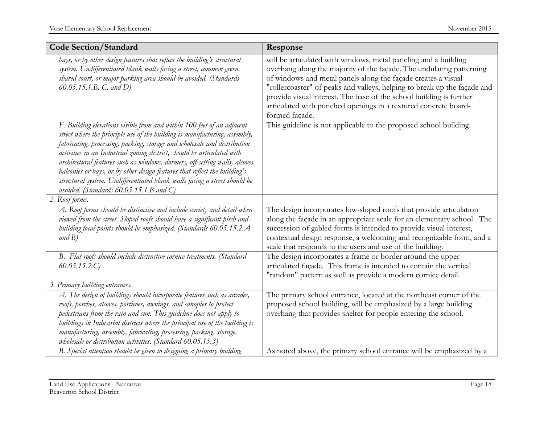| <b>Code Section/Standard</b>                                                                                                                                                                                                                                                                                                                                                                                                                                                                                                                                                                      | Response                                                                                                                                                                                                                                                                                                                                                                                                                                         |
|---------------------------------------------------------------------------------------------------------------------------------------------------------------------------------------------------------------------------------------------------------------------------------------------------------------------------------------------------------------------------------------------------------------------------------------------------------------------------------------------------------------------------------------------------------------------------------------------------|--------------------------------------------------------------------------------------------------------------------------------------------------------------------------------------------------------------------------------------------------------------------------------------------------------------------------------------------------------------------------------------------------------------------------------------------------|
| bays, or by other design features that reflect the building's structural<br>system. Undifferentiated blank walls facing a street, common green,<br>shared court, or major parking area should be avoided. (Standards<br>60.05.15.1.B, $C$ , and $D$ )                                                                                                                                                                                                                                                                                                                                             | will be articulated with windows, metal paneling and a building<br>overhang along the majority of the façade. The undulating patterning<br>of windows and metal panels along the façade creates a visual<br>"rollercoaster" of peaks and valleys, helping to break up the façade and<br>provide visual interest. The base of the school building is further<br>articulated with punched openings in a textured concrete board-<br>formed façade. |
| F. Building elevations visible from and within 100 feet of an adjacent<br>street where the principle use of the building is manufacturing, assembly,<br>fabricating, processing, packing, storage and wholesale and distribution<br>activities in an Industrial zoning district, should be articulated with<br>architectural features such as windows, dormers, off-setting walls, alcoves,<br>balconies or bays, or by other design features that reflect the building's<br>structural system. Undifferentiated blank walls facing a street should be<br>avoided. (Standards 60.05.15.1.B and C) | This guideline is not applicable to the proposed school building.                                                                                                                                                                                                                                                                                                                                                                                |
| 2. Roof forms.                                                                                                                                                                                                                                                                                                                                                                                                                                                                                                                                                                                    |                                                                                                                                                                                                                                                                                                                                                                                                                                                  |
| A. Roof forms should be distinctive and include variety and detail when<br>viewed from the street. Sloped roofs should have a significant pitch and<br>building focal points should be emphasized. (Standards 60.05.15.2.A<br>and B)                                                                                                                                                                                                                                                                                                                                                              | The design incorporates low-sloped roofs that provide articulation<br>along the façade in an appropriate scale for an elementary school. The<br>succession of gabled forms is intended to provide visual interest,<br>contextual design response, a welcoming and recognizable form, and a<br>scale that responds to the users and use of the building.                                                                                          |
| B. Flat roofs should include distinctive cornice treatments. (Standard<br>60.05.15.2.C                                                                                                                                                                                                                                                                                                                                                                                                                                                                                                            | The design incorporates a frame or border around the upper<br>articulated façade. This frame is intended to contain the vertical<br>"random" pattern as well as provide a modern cornice detail.                                                                                                                                                                                                                                                 |
| 3. Primary building entrances.                                                                                                                                                                                                                                                                                                                                                                                                                                                                                                                                                                    |                                                                                                                                                                                                                                                                                                                                                                                                                                                  |
| A. The design of buildings should incorporate features such as arcades,<br>roofs, porches, alcoves, porticoes, awnings, and canopies to protect<br>pedestrians from the rain and sun. This guideline does not apply to<br>buildings in Industrial districts where the principal use of the building is<br>manufacturing, assembly, fabricating, processing, packing, storage,<br>wholesale or distribution activities. (Standard 60.05.15.3)                                                                                                                                                      | The primary school entrance, located at the northeast corner of the<br>proposed school building, will be emphasized by a large building<br>overhang that provides shelter for people entering the school.                                                                                                                                                                                                                                        |
| B. Special attention should be given to designing a primary building                                                                                                                                                                                                                                                                                                                                                                                                                                                                                                                              | As noted above, the primary school entrance will be emphasized by a                                                                                                                                                                                                                                                                                                                                                                              |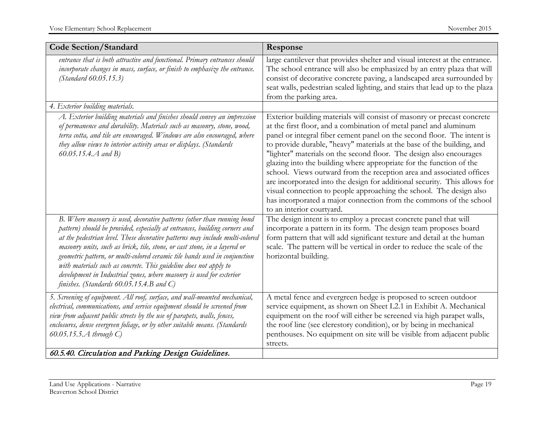| <b>Code Section/Standard</b>                                                                                                                                                                                                                                                                                                                                                                                                                                                                                                                                                              | Response                                                                                                                                                                                                                                                                                                                                                                                                                                                                                                                                                                                                                                                                                                                                                                       |
|-------------------------------------------------------------------------------------------------------------------------------------------------------------------------------------------------------------------------------------------------------------------------------------------------------------------------------------------------------------------------------------------------------------------------------------------------------------------------------------------------------------------------------------------------------------------------------------------|--------------------------------------------------------------------------------------------------------------------------------------------------------------------------------------------------------------------------------------------------------------------------------------------------------------------------------------------------------------------------------------------------------------------------------------------------------------------------------------------------------------------------------------------------------------------------------------------------------------------------------------------------------------------------------------------------------------------------------------------------------------------------------|
| entrance that is both attractive and functional. Primary entrances should<br>incorporate changes in mass, surface, or finish to emphasize the entrance.<br>(Standard 60.05.15.3)                                                                                                                                                                                                                                                                                                                                                                                                          | large cantilever that provides shelter and visual interest at the entrance.<br>The school entrance will also be emphasized by an entry plaza that will<br>consist of decorative concrete paving, a landscaped area surrounded by<br>seat walls, pedestrian scaled lighting, and stairs that lead up to the plaza<br>from the parking area.                                                                                                                                                                                                                                                                                                                                                                                                                                     |
| 4. Exterior building materials.                                                                                                                                                                                                                                                                                                                                                                                                                                                                                                                                                           |                                                                                                                                                                                                                                                                                                                                                                                                                                                                                                                                                                                                                                                                                                                                                                                |
| A. Exterior building materials and finishes should convey an impression<br>of permanence and durability. Materials such as masonry, stone, wood,<br>terra cotta, and tile are encouraged. Windows are also encouraged, where<br>they allow views to interior activity areas or displays. (Standards<br>60.05.15.4. $A$ and B)                                                                                                                                                                                                                                                             | Exterior building materials will consist of masonry or precast concrete<br>at the first floor, and a combination of metal panel and aluminum<br>panel or integral fiber cement panel on the second floor. The intent is<br>to provide durable, "heavy" materials at the base of the building, and<br>"lighter" materials on the second floor. The design also encourages<br>glazing into the building where appropriate for the function of the<br>school. Views outward from the reception area and associated offices<br>are incorporated into the design for additional security. This allows for<br>visual connection to people approaching the school. The design also<br>has incorporated a major connection from the commons of the school<br>to an interior courtyard. |
| B. Where masonry is used, decorative patterns (other than running bond<br>pattern) should be provided, especially at entrances, building corners and<br>at the pedestrian level. These decorative patterns may include multi-colored<br>masonry units, such as brick, tile, stone, or cast stone, in a layered or<br>geometric pattern, or multi-colored ceramic tile bands used in conjunction<br>with materials such as concrete. This guideline does not apply to<br>development in Industrial zones, where masonry is used for exterior<br>finishes. (Standards $60.05.15.4.B$ and C) | The design intent is to employ a precast concrete panel that will<br>incorporate a pattern in its form. The design team proposes board<br>form pattern that will add significant texture and detail at the human<br>scale. The pattern will be vertical in order to reduce the scale of the<br>horizontal building.                                                                                                                                                                                                                                                                                                                                                                                                                                                            |
| 5. Screening of equipment. All roof, surface, and wall-mounted mechanical,<br>electrical, communications, and service equipment should be screened from<br>view from adjacent public streets by the use of parapets, walls, fences,<br>enclosures, dense evergreen foliage, or by other suitable means. (Standards<br>60.05.15.5. $A$ through $C$ )                                                                                                                                                                                                                                       | A metal fence and evergreen hedge is proposed to screen outdoor<br>service equipment, as shown on Sheet L2.1 in Exhibit A. Mechanical<br>equipment on the roof will either be screened via high parapet walls,<br>the roof line (see clerestory condition), or by being in mechanical<br>penthouses. No equipment on site will be visible from adjacent public<br>streets.                                                                                                                                                                                                                                                                                                                                                                                                     |
| 60.5.40. Circulation and Parking Design Guidelines.                                                                                                                                                                                                                                                                                                                                                                                                                                                                                                                                       |                                                                                                                                                                                                                                                                                                                                                                                                                                                                                                                                                                                                                                                                                                                                                                                |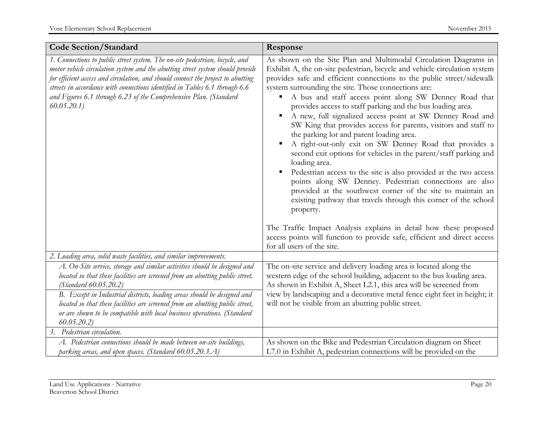| <b>Code Section/Standard</b>                                                                                                                                                                                                                                                                                                                                                                                          | Response                                                                                                                                                                                                                                                                                                                                                                                                                                                                                                                                                                                                                                                                                                                                                                                                                                                                                                                                                                                                                                                                                                                                                              |
|-----------------------------------------------------------------------------------------------------------------------------------------------------------------------------------------------------------------------------------------------------------------------------------------------------------------------------------------------------------------------------------------------------------------------|-----------------------------------------------------------------------------------------------------------------------------------------------------------------------------------------------------------------------------------------------------------------------------------------------------------------------------------------------------------------------------------------------------------------------------------------------------------------------------------------------------------------------------------------------------------------------------------------------------------------------------------------------------------------------------------------------------------------------------------------------------------------------------------------------------------------------------------------------------------------------------------------------------------------------------------------------------------------------------------------------------------------------------------------------------------------------------------------------------------------------------------------------------------------------|
| 1. Connections to public street system. The on-site pedestrian, bicycle, and<br>motor vehicle circulation system and the abutting street system should provide<br>for efficient access and circulation, and should connect the project to abutting<br>streets in accordance with connections identified in Tables 6.1 through 6.6<br>and Figures 6.1 through 6.23 of the Comprehensive Plan. (Standard<br>60.05.20.1) | As shown on the Site Plan and Multimodal Circulation Diagrams in<br>Exhibit A, the on-site pedestrian, bicycle and vehicle circulation system<br>provides safe and efficient connections to the public street/sidewalk<br>system surrounding the site. Those connections are:<br>A bus and staff access point along SW Denney Road that<br>٠<br>provides access to staff parking and the bus loading area.<br>A new, full signalized access point at SW Denney Road and<br>SW King that provides access for parents, visitors and staff to<br>the parking lot and parent loading area.<br>A right-out-only exit on SW Denney Road that provides a<br>second exit options for vehicles in the parent/staff parking and<br>loading area.<br>Pedestrian access to the site is also provided at the two access<br>points along SW Denney. Pedestrian connections are also<br>provided at the southwest corner of the site to maintain an<br>existing pathway that travels through this corner of the school<br>property.<br>The Traffic Impact Analysis explains in detail how these proposed<br>access points will function to provide safe, efficient and direct access |
|                                                                                                                                                                                                                                                                                                                                                                                                                       | for all users of the site.                                                                                                                                                                                                                                                                                                                                                                                                                                                                                                                                                                                                                                                                                                                                                                                                                                                                                                                                                                                                                                                                                                                                            |
| 2. Loading area, solid waste facilities, and similar improvements.                                                                                                                                                                                                                                                                                                                                                    |                                                                                                                                                                                                                                                                                                                                                                                                                                                                                                                                                                                                                                                                                                                                                                                                                                                                                                                                                                                                                                                                                                                                                                       |
| A. On-Site service, storage and similar activities should be designed and<br>located so that these facilities are screened from an abutting public street.<br><i>(Standard 60.05.20.2)</i>                                                                                                                                                                                                                            | The on-site service and delivery loading area is located along the<br>western edge of the school building, adjacent to the bus loading area.<br>As shown in Exhibit A, Sheet L2.1, this area will be screened from                                                                                                                                                                                                                                                                                                                                                                                                                                                                                                                                                                                                                                                                                                                                                                                                                                                                                                                                                    |
| B. Except in Industrial districts, loading areas should be designed and<br>located so that these facilities are screened from an abutting public street,<br>or are shown to be compatible with local business operations. (Standard<br>60.05.20.2                                                                                                                                                                     | view by landscaping and a decorative metal fence eight feet in height; it<br>will not be visible from an abutting public street.                                                                                                                                                                                                                                                                                                                                                                                                                                                                                                                                                                                                                                                                                                                                                                                                                                                                                                                                                                                                                                      |
| 3. Pedestrian circulation.                                                                                                                                                                                                                                                                                                                                                                                            |                                                                                                                                                                                                                                                                                                                                                                                                                                                                                                                                                                                                                                                                                                                                                                                                                                                                                                                                                                                                                                                                                                                                                                       |
| A. Pedestrian connections should be made between on-site buildings,<br>parking areas, and open spaces. (Standard 60.05.20.3.A)                                                                                                                                                                                                                                                                                        | As shown on the Bike and Pedestrian Circulation diagram on Sheet<br>L7.0 in Exhibit A, pedestrian connections will be provided on the                                                                                                                                                                                                                                                                                                                                                                                                                                                                                                                                                                                                                                                                                                                                                                                                                                                                                                                                                                                                                                 |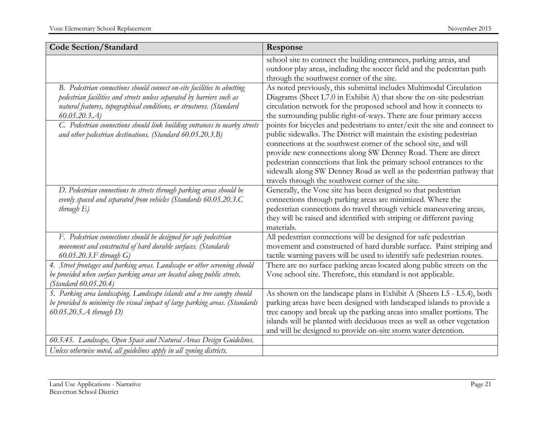| <b>Code Section/Standard</b>                                                                                                                                                                                                                                                                                                                                                            | Response                                                                                                                                                                                                                                                                                                                                                                                                                                                                                                                                                                                                                                                                                                                                                                                |
|-----------------------------------------------------------------------------------------------------------------------------------------------------------------------------------------------------------------------------------------------------------------------------------------------------------------------------------------------------------------------------------------|-----------------------------------------------------------------------------------------------------------------------------------------------------------------------------------------------------------------------------------------------------------------------------------------------------------------------------------------------------------------------------------------------------------------------------------------------------------------------------------------------------------------------------------------------------------------------------------------------------------------------------------------------------------------------------------------------------------------------------------------------------------------------------------------|
|                                                                                                                                                                                                                                                                                                                                                                                         | school site to connect the building entrances, parking areas, and<br>outdoor play areas, including the soccer field and the pedestrian path<br>through the southwest corner of the site.                                                                                                                                                                                                                                                                                                                                                                                                                                                                                                                                                                                                |
| B. Pedestrian connections should connect on-site facilities to abutting<br>pedestrian facilities and streets unless separated by barriers such as<br>natural features, topographical conditions, or structures. (Standard<br>60.05.20.3. A)<br>C. Pedestrian connections should link building entrances to nearby streets<br>and other pedestrian destinations. (Standard 60.05.20.3.B) | As noted previously, this submittal includes Multimodal Circulation<br>Diagrams (Sheet L7.0 in Exhibit A) that show the on-site pedestrian<br>circulation network for the proposed school and how it connects to<br>the surrounding public right-of-ways. There are four primary access<br>points for bicycles and pedestrians to enter/exit the site and connect to<br>public sidewalks. The District will maintain the existing pedestrian<br>connections at the southwest corner of the school site, and will<br>provide new connections along SW Denney Road. There are direct<br>pedestrian connections that link the primary school entrances to the<br>sidewalk along SW Denney Road as well as the pedestrian pathway that<br>travels through the southwest corner of the site. |
| D. Pedestrian connections to streets through parking areas should be<br>evenly spaced and separated from vehicles (Standards 60.05.20.3.C<br><i>through</i> $E$ )                                                                                                                                                                                                                       | Generally, the Vose site has been designed so that pedestrian<br>connections through parking areas are minimized. Where the<br>pedestrian connections do travel through vehicle maneuvering areas,<br>they will be raised and identified with striping or different paving<br>materials.                                                                                                                                                                                                                                                                                                                                                                                                                                                                                                |
| F. Pedestrian connections should be designed for safe pedestrian<br>movement and constructed of hard durable surfaces. (Standards<br>60.05.20.3. F through $G$ )                                                                                                                                                                                                                        | All pedestrian connections will be designed for safe pedestrian<br>movement and constructed of hard durable surface. Paint striping and<br>tactile warning pavers will be used to identify safe pedestrian routes.                                                                                                                                                                                                                                                                                                                                                                                                                                                                                                                                                                      |
| 4. Street frontages and parking areas. Landscape or other screening should<br>be provided when surface parking areas are located along public streets.<br><i>(Standard 60.05.20.4)</i>                                                                                                                                                                                                  | There are no surface parking areas located along public streets on the<br>Vose school site. Therefore, this standard is not applicable.                                                                                                                                                                                                                                                                                                                                                                                                                                                                                                                                                                                                                                                 |
| 5. Parking area landscaping. Landscape islands and a tree canopy should<br>be provided to minimize the visual impact of large parking areas. (Standards<br>60.05.20.5. $A$ through $D$ )                                                                                                                                                                                                | As shown on the landscape plans in Exhibit A (Sheets L5 - L5.4), both<br>parking areas have been designed with landscaped islands to provide a<br>tree canopy and break up the parking areas into smaller portions. The<br>islands will be planted with deciduous trees as well as other vegetation<br>and will be designed to provide on-site storm water detention.                                                                                                                                                                                                                                                                                                                                                                                                                   |
| 60.5.45. Landscape, Open Space and Natural Areas Design Guidelines.<br>Unless otherwise noted, all guidelines apply in all zoning districts.                                                                                                                                                                                                                                            |                                                                                                                                                                                                                                                                                                                                                                                                                                                                                                                                                                                                                                                                                                                                                                                         |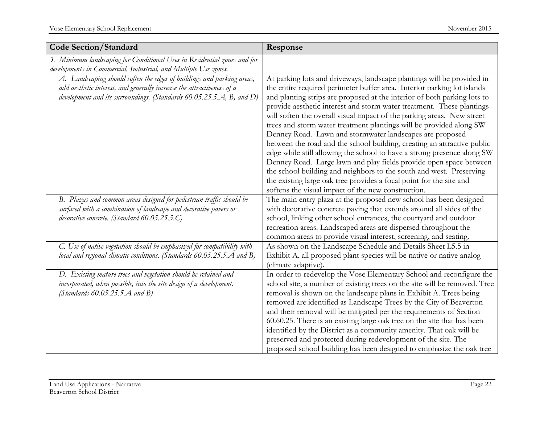| <b>Code Section/Standard</b>                                                                                                                                                                                                | Response                                                                                                                                                                                                                                                                                                                                                                                                                                                                                                                                                                                                                                                                                                                                                                                                                                                                                                                                            |
|-----------------------------------------------------------------------------------------------------------------------------------------------------------------------------------------------------------------------------|-----------------------------------------------------------------------------------------------------------------------------------------------------------------------------------------------------------------------------------------------------------------------------------------------------------------------------------------------------------------------------------------------------------------------------------------------------------------------------------------------------------------------------------------------------------------------------------------------------------------------------------------------------------------------------------------------------------------------------------------------------------------------------------------------------------------------------------------------------------------------------------------------------------------------------------------------------|
| 3. Minimum landscaping for Conditional Uses in Residential zones and for<br>developments in Commercial, Industrial, and Multiple Use zones.                                                                                 |                                                                                                                                                                                                                                                                                                                                                                                                                                                                                                                                                                                                                                                                                                                                                                                                                                                                                                                                                     |
| A. Landscaping should soften the edges of buildings and parking areas,<br>add aesthetic interest, and generally increase the attractiveness of a<br>development and its surroundings. (Standards $60.05.25.5.A$ , B, and D) | At parking lots and driveways, landscape plantings will be provided in<br>the entire required perimeter buffer area. Interior parking lot islands<br>and planting strips are proposed at the interior of both parking lots to<br>provide aesthetic interest and storm water treatment. These plantings<br>will soften the overall visual impact of the parking areas. New street<br>trees and storm water treatment plantings will be provided along SW<br>Denney Road. Lawn and stormwater landscapes are proposed<br>between the road and the school building, creating an attractive public<br>edge while still allowing the school to have a strong presence along SW<br>Denney Road. Large lawn and play fields provide open space between<br>the school building and neighbors to the south and west. Preserving<br>the existing large oak tree provides a focal point for the site and<br>softens the visual impact of the new construction. |
| B. Plazas and common areas designed for pedestrian traffic should be<br>surfaced with a combination of landscape and decorative pavers or<br>decorative concrete. (Standard 60.05.25.5.C)                                   | The main entry plaza at the proposed new school has been designed<br>with decorative concrete paving that extends around all sides of the<br>school, linking other school entrances, the courtyard and outdoor<br>recreation areas. Landscaped areas are dispersed throughout the<br>common areas to provide visual interest, screening, and seating.                                                                                                                                                                                                                                                                                                                                                                                                                                                                                                                                                                                               |
| C. Use of native vegetation should be emphasized for compatibility with<br>local and regional climatic conditions. (Standards 60.05.25.5.A and B)                                                                           | As shown on the Landscape Schedule and Details Sheet L5.5 in<br>Exhibit A, all proposed plant species will be native or native analog<br>(climate adaptive)                                                                                                                                                                                                                                                                                                                                                                                                                                                                                                                                                                                                                                                                                                                                                                                         |
| D. Existing mature trees and vegetation should be retained and<br>incorporated, when possible, into the site design of a development.<br>(Standards $60.05.25.5.A$ and B)                                                   | In order to redevelop the Vose Elementary School and reconfigure the<br>school site, a number of existing trees on the site will be removed. Tree<br>removal is shown on the landscape plans in Exhibit A. Trees being<br>removed are identified as Landscape Trees by the City of Beaverton<br>and their removal will be mitigated per the requirements of Section<br>60.60.25. There is an existing large oak tree on the site that has been<br>identified by the District as a community amenity. That oak will be<br>preserved and protected during redevelopment of the site. The<br>proposed school building has been designed to emphasize the oak tree                                                                                                                                                                                                                                                                                      |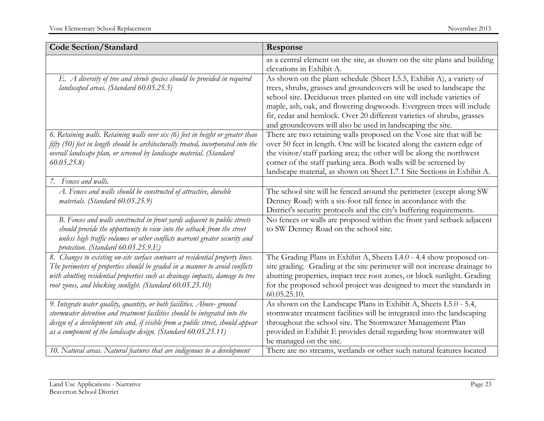| <b>Code Section/Standard</b>                                                                                                                                                                                                                                                                                 | Response                                                                                                                                                                                                                                                                                                                                                                                                                                  |
|--------------------------------------------------------------------------------------------------------------------------------------------------------------------------------------------------------------------------------------------------------------------------------------------------------------|-------------------------------------------------------------------------------------------------------------------------------------------------------------------------------------------------------------------------------------------------------------------------------------------------------------------------------------------------------------------------------------------------------------------------------------------|
|                                                                                                                                                                                                                                                                                                              | as a central element on the site, as shown on the site plans and building<br>elevations in Exhibit A.                                                                                                                                                                                                                                                                                                                                     |
| E. A diversity of tree and shrub species should be provided in required<br>landscaped areas. (Standard 60.05.25.5)                                                                                                                                                                                           | As shown on the plant schedule (Sheet L5.5, Exhibit A), a variety of<br>trees, shrubs, grasses and groundcovers will be used to landscape the<br>school site. Deciduous trees planted on site will include varieties of<br>maple, ash, oak, and flowering dogwoods. Evergreen trees will include<br>fir, cedar and hemlock. Over 20 different varieties of shrubs, grasses<br>and groundcovers will also be used in landscaping the site. |
| 6. Retaining walls. Retaining walls over six (6) feet in height or greater than<br>fifty (50) feet in length should be architecturally treated, incorporated into the<br>overall landscape plan, or screened by landscape material. (Standard<br>60.05.25.8                                                  | There are two retaining walls proposed on the Vose site that will be<br>over 50 feet in length. One will be located along the eastern edge of<br>the visitor/staff parking area; the other will be along the northwest<br>corner of the staff parking area. Both walls will be screened by<br>landscape material, as shown on Sheet L7.1 Site Sections in Exhibit A.                                                                      |
| 7. Fences and walls.                                                                                                                                                                                                                                                                                         |                                                                                                                                                                                                                                                                                                                                                                                                                                           |
| A. Fences and walls should be constructed of attractive, durable<br>materials. (Standard 60.05.25.9)                                                                                                                                                                                                         | The school site will be fenced around the perimeter (except along SW<br>Denney Road) with a six-foot tall fence in accordance with the<br>District's security protocols and the city's buffering requirements.                                                                                                                                                                                                                            |
| B. Fences and walls constructed in front yards adjacent to public streets<br>should provide the opportunity to view into the setback from the street<br>unless high traffic volumes or other conflicts warrant greater security and<br>protection. (Standard $60.05.25.9.E$ )                                | No fences or walls are proposed within the front yard setback adjacent<br>to SW Denney Road on the school site.                                                                                                                                                                                                                                                                                                                           |
| 8. Changes to existing on-site surface contours at residential property lines.<br>The perimeters of properties should be graded in a manner to avoid conflicts<br>with abutting residential properties such as drainage impacts, damage to tree<br>root zones, and blocking sunlight. (Standard 60.05.25.10) | The Grading Plans in Exhibit A, Sheets L4.0 - 4.4 show proposed on-<br>site grading. Grading at the site perimeter will not increase drainage to<br>abutting properties, impact tree root zones, or block sunlight. Grading<br>for the proposed school project was designed to meet the standards in<br>60.05.25.10.                                                                                                                      |
| 9. Integrate water quality, quantity, or both facilities. Above-ground<br>stormwater detention and treatment facilities should be integrated into the<br>design of a development site and, if visible from a public street, should appear<br>as a component of the landscape design. (Standard 60.05.25.11)  | As shown on the Landscape Plans in Exhibit A, Sheets L5.0 - 5.4,<br>stormwater treatment facilities will be integrated into the landscaping<br>throughout the school site. The Stormwater Management Plan<br>provided in Exhibit E provides detail regarding how stormwater will<br>be managed on the site.                                                                                                                               |
| 10. Natural areas. Natural features that are indigenous to a development                                                                                                                                                                                                                                     | There are no streams, wetlands or other such natural features located                                                                                                                                                                                                                                                                                                                                                                     |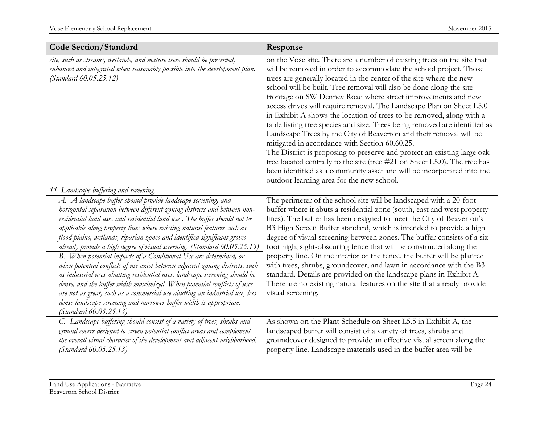| <b>Code Section/Standard</b>                                                                                                                                                                                                                                                                                                                                                                                                                                                                                                                                                                                                                                                                                                                                                                                                                                                                                                                                | Response                                                                                                                                                                                                                                                                                                                                                                                                                                                                                                                                                                                                                                                                                                                                                                                                                                                                                                                                                                                        |
|-------------------------------------------------------------------------------------------------------------------------------------------------------------------------------------------------------------------------------------------------------------------------------------------------------------------------------------------------------------------------------------------------------------------------------------------------------------------------------------------------------------------------------------------------------------------------------------------------------------------------------------------------------------------------------------------------------------------------------------------------------------------------------------------------------------------------------------------------------------------------------------------------------------------------------------------------------------|-------------------------------------------------------------------------------------------------------------------------------------------------------------------------------------------------------------------------------------------------------------------------------------------------------------------------------------------------------------------------------------------------------------------------------------------------------------------------------------------------------------------------------------------------------------------------------------------------------------------------------------------------------------------------------------------------------------------------------------------------------------------------------------------------------------------------------------------------------------------------------------------------------------------------------------------------------------------------------------------------|
| site, such as streams, wetlands, and mature trees should be preserved,<br>enhanced and integrated when reasonably possible into the development plan.<br><i>(Standard 60.05.25.12)</i>                                                                                                                                                                                                                                                                                                                                                                                                                                                                                                                                                                                                                                                                                                                                                                      | on the Vose site. There are a number of existing trees on the site that<br>will be removed in order to accommodate the school project. Those<br>trees are generally located in the center of the site where the new<br>school will be built. Tree removal will also be done along the site<br>frontage on SW Denney Road where street improvements and new<br>access drives will require removal. The Landscape Plan on Sheet L5.0<br>in Exhibit A shows the location of trees to be removed, along with a<br>table listing tree species and size. Trees being removed are identified as<br>Landscape Trees by the City of Beaverton and their removal will be<br>mitigated in accordance with Section 60.60.25.<br>The District is proposing to preserve and protect an existing large oak<br>tree located centrally to the site (tree #21 on Sheet L5.0). The tree has<br>been identified as a community asset and will be incorporated into the<br>outdoor learning area for the new school. |
| 11. Landscape buffering and screening.                                                                                                                                                                                                                                                                                                                                                                                                                                                                                                                                                                                                                                                                                                                                                                                                                                                                                                                      |                                                                                                                                                                                                                                                                                                                                                                                                                                                                                                                                                                                                                                                                                                                                                                                                                                                                                                                                                                                                 |
| A. A landscape buffer should provide landscape screening, and<br>horizontal separation between different zoning districts and between non-<br>residential land uses and residential land uses. The buffer should not be<br>applicable along property lines where existing natural features such as<br>flood plains, wetlands, riparian zones and identified significant groves<br>already provide a high degree of visual screening. (Standard 60.05.25.13)<br>B. When potential impacts of a Conditional Use are determined, or<br>when potential conflicts of use exist between adjacent zoning districts, such<br>as industrial uses abutting residential uses, landscape screening should be<br>dense, and the buffer width maximized. When potential conflicts of uses<br>are not as great, such as a commercial use abutting an industrial use, less<br>dense landscape screening and narrower buffer width is appropriate.<br>(Standard 60.05.25.13) | The perimeter of the school site will be landscaped with a 20-foot<br>buffer where it abuts a residential zone (south, east and west property<br>lines). The buffer has been designed to meet the City of Beaverton's<br>B3 High Screen Buffer standard, which is intended to provide a high<br>degree of visual screening between zones. The buffer consists of a six-<br>foot high, sight-obscuring fence that will be constructed along the<br>property line. On the interior of the fence, the buffer will be planted<br>with trees, shrubs, groundcover, and lawn in accordance with the B3<br>standard. Details are provided on the landscape plans in Exhibit A.<br>There are no existing natural features on the site that already provide<br>visual screening.                                                                                                                                                                                                                         |
| C. Landscape buffering should consist of a variety of trees, shrubs and<br>ground covers designed to screen potential conflict areas and complement<br>the overall visual character of the development and adjacent neighborhood.<br>(Standard 60.05.25.13)                                                                                                                                                                                                                                                                                                                                                                                                                                                                                                                                                                                                                                                                                                 | As shown on the Plant Schedule on Sheet L5.5 in Exhibit A, the<br>landscaped buffer will consist of a variety of trees, shrubs and<br>groundcover designed to provide an effective visual screen along the<br>property line. Landscape materials used in the buffer area will be                                                                                                                                                                                                                                                                                                                                                                                                                                                                                                                                                                                                                                                                                                                |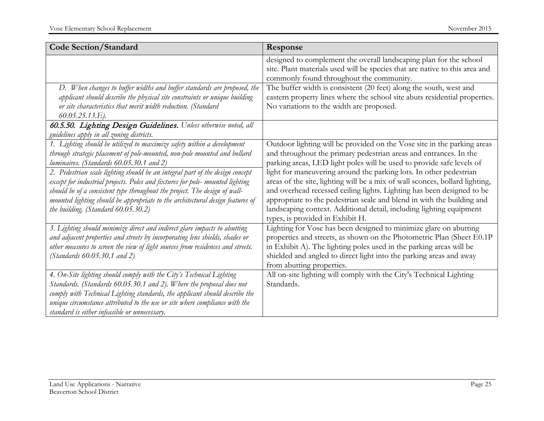| <b>Code Section/Standard</b>                                                                                                                                                                                                                                                                                                                                             | Response                                                                                                                                                                                                                                                                                                                                                                                                           |
|--------------------------------------------------------------------------------------------------------------------------------------------------------------------------------------------------------------------------------------------------------------------------------------------------------------------------------------------------------------------------|--------------------------------------------------------------------------------------------------------------------------------------------------------------------------------------------------------------------------------------------------------------------------------------------------------------------------------------------------------------------------------------------------------------------|
|                                                                                                                                                                                                                                                                                                                                                                          | designed to complement the overall landscaping plan for the school<br>site. Plant materials used will be species that are native to this area and<br>commonly found throughout the community.                                                                                                                                                                                                                      |
| D. When changes to buffer widths and buffer standards are proposed, the<br>applicant should describe the physical site constraints or unique building<br>or site characteristics that merit width reduction. (Standard<br>60.05.25.13.E).                                                                                                                                | The buffer width is consistent (20 feet) along the south, west and<br>eastern property lines where the school site abuts residential properties.<br>No variations to the width are proposed.                                                                                                                                                                                                                       |
| 60.5.50. Lighting Design Guidelines. Unless otherwise noted, all<br>guidelines apply in all zoning districts.                                                                                                                                                                                                                                                            |                                                                                                                                                                                                                                                                                                                                                                                                                    |
| 1. Lighting should be utilized to maximize safety within a development<br>through strategic placement of pole-mounted, non-pole mounted and bollard<br>luminaires. (Standards 60.05.30.1 and 2)                                                                                                                                                                          | Outdoor lighting will be provided on the Vose site in the parking areas<br>and throughout the primary pedestrian areas and entrances. In the<br>parking areas, LED light poles will be used to provide safe levels of                                                                                                                                                                                              |
| 2. Pedestrian scale lighting should be an integral part of the design concept<br>except for industrial projects. Poles and fixtures for pole- mounted lighting<br>should be of a consistent type throughout the project. The design of wall-<br>mounted lighting should be appropriate to the architectural design features of<br>the building. $(Standard\ 60.05.30.2)$ | light for maneuvering around the parking lots. In other pedestrian<br>areas of the site, lighting will be a mix of wall sconces, bollard lighting,<br>and overhead recessed ceiling lights. Lighting has been designed to be<br>appropriate to the pedestrian scale and blend in with the building and<br>landscaping context. Additional detail, including lighting equipment<br>types, is provided in Exhibit H. |
| 3. Lighting should minimize direct and indirect glare impacts to abutting<br>and adjacent properties and streets by incorporating lens shields, shades or<br>other measures to screen the view of light sources from residences and streets.<br>(Standards 60.05.30.1 and 2)                                                                                             | Lighting for Vose has been designed to minimize glare on abutting<br>properties and streets, as shown on the Photometric Plan (Sheet E0.1P<br>in Exhibit A). The lighting poles used in the parking areas will be<br>shielded and angled to direct light into the parking areas and away<br>from abutting properties.                                                                                              |
| 4. On-Site lighting should comply with the City's Technical Lighting<br>Standards. (Standards 60.05.30.1 and 2). Where the proposal does not<br>comply with Technical Lighting standards, the applicant should describe the<br>unique circumstance attributed to the use or site where compliance with the<br>standard is either infeasible or unnecessary.              | All on-site lighting will comply with the City's Technical Lighting<br>Standards.                                                                                                                                                                                                                                                                                                                                  |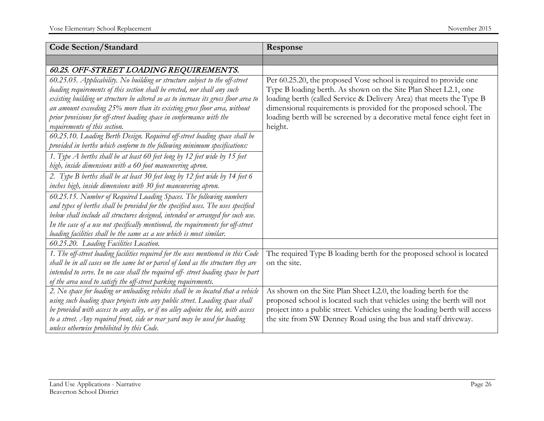| <b>Code Section/Standard</b>                                                                                                                                                                                                                                                                                                                                                                                                                                                                                                                                                                                                                                                                                                                                                                                                                                                                                                                                                                                                                                                                                                                                                                                                   | Response                                                                                                                                                                                                                                                                                                                                                                 |
|--------------------------------------------------------------------------------------------------------------------------------------------------------------------------------------------------------------------------------------------------------------------------------------------------------------------------------------------------------------------------------------------------------------------------------------------------------------------------------------------------------------------------------------------------------------------------------------------------------------------------------------------------------------------------------------------------------------------------------------------------------------------------------------------------------------------------------------------------------------------------------------------------------------------------------------------------------------------------------------------------------------------------------------------------------------------------------------------------------------------------------------------------------------------------------------------------------------------------------|--------------------------------------------------------------------------------------------------------------------------------------------------------------------------------------------------------------------------------------------------------------------------------------------------------------------------------------------------------------------------|
|                                                                                                                                                                                                                                                                                                                                                                                                                                                                                                                                                                                                                                                                                                                                                                                                                                                                                                                                                                                                                                                                                                                                                                                                                                |                                                                                                                                                                                                                                                                                                                                                                          |
| 60.25. OFF-STREET LOADING REQUIREMENTS.                                                                                                                                                                                                                                                                                                                                                                                                                                                                                                                                                                                                                                                                                                                                                                                                                                                                                                                                                                                                                                                                                                                                                                                        |                                                                                                                                                                                                                                                                                                                                                                          |
| 60.25.05. Applicability. No building or structure subject to the off-street<br>loading requirements of this section shall be erected, nor shall any such<br>existing building or structure be altered so as to increase its gross floor area to<br>an amount exceeding 25% more than its existing gross floor area, without<br>prior provisions for off-street loading space in conformance with the<br>requirements of this section.<br>60.25.10. Loading Berth Design. Required off-street loading space shall be<br>provided in berths which conform to the following minimum specifications:<br>1. Type A berths shall be at least 60 feet long by 12 feet wide by 15 feet<br>high, inside dimensions with a 60 foot maneuvering apron.<br>2. Type B berths shall be at least 30 feet long by 12 feet wide by 14 feet 6<br>inches high, inside dimensions with 30 feet maneuvering apron.<br>60.25.15. Number of Required Loading Spaces. The following numbers<br>and types of berths shall be provided for the specified uses. The uses specified<br>below shall include all structures designed, intended or arranged for such use.<br>In the case of a use not specifically mentioned, the requirements for off-street | Per 60.25.20, the proposed Vose school is required to provide one<br>Type B loading berth. As shown on the Site Plan Sheet L2.1, one<br>loading berth (called Service & Delivery Area) that meets the Type B<br>dimensional requirements is provided for the proposed school. The<br>loading berth will be screened by a decorative metal fence eight feet in<br>height. |
| loading facilities shall be the same as a use which is most similar.                                                                                                                                                                                                                                                                                                                                                                                                                                                                                                                                                                                                                                                                                                                                                                                                                                                                                                                                                                                                                                                                                                                                                           |                                                                                                                                                                                                                                                                                                                                                                          |
| 60.25.20. Loading Facilities Location.<br>1. The off-street loading facilities required for the uses mentioned in this Code<br>shall be in all cases on the same lot or parcel of land as the structure they are<br>intended to serve. In no case shall the required off- street loading space be part                                                                                                                                                                                                                                                                                                                                                                                                                                                                                                                                                                                                                                                                                                                                                                                                                                                                                                                         | The required Type B loading berth for the proposed school is located<br>on the site.                                                                                                                                                                                                                                                                                     |
| of the area used to satisfy the off-street parking requirements.<br>2. No space for loading or unloading vehicles shall be so located that a vehicle<br>using such loading space projects into any public street. Loading space shall<br>be provided with access to any alley, or if no alley adjoins the lot, with access<br>to a street. Any required front, side or rear yard may be used for loading<br>unless otherwise prohibited by this Code.                                                                                                                                                                                                                                                                                                                                                                                                                                                                                                                                                                                                                                                                                                                                                                          | As shown on the Site Plan Sheet L2.0, the loading berth for the<br>proposed school is located such that vehicles using the berth will not<br>project into a public street. Vehicles using the loading berth will access<br>the site from SW Denney Road using the bus and staff driveway.                                                                                |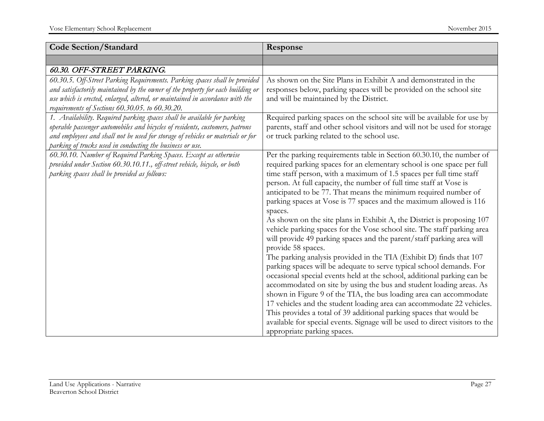| <b>Code Section/Standard</b>                                                                                                                                                                                                                                                                            | Response                                                                                                                                                                                                                                                                                                                                                                                                                                                                                                                                                                                                                                                                                                                                                                                                                                                                                                                                                                                                                                                                                                                                                                                                                                                                                                                                   |
|---------------------------------------------------------------------------------------------------------------------------------------------------------------------------------------------------------------------------------------------------------------------------------------------------------|--------------------------------------------------------------------------------------------------------------------------------------------------------------------------------------------------------------------------------------------------------------------------------------------------------------------------------------------------------------------------------------------------------------------------------------------------------------------------------------------------------------------------------------------------------------------------------------------------------------------------------------------------------------------------------------------------------------------------------------------------------------------------------------------------------------------------------------------------------------------------------------------------------------------------------------------------------------------------------------------------------------------------------------------------------------------------------------------------------------------------------------------------------------------------------------------------------------------------------------------------------------------------------------------------------------------------------------------|
|                                                                                                                                                                                                                                                                                                         |                                                                                                                                                                                                                                                                                                                                                                                                                                                                                                                                                                                                                                                                                                                                                                                                                                                                                                                                                                                                                                                                                                                                                                                                                                                                                                                                            |
| 60.30. OFF-STREET PARKING.                                                                                                                                                                                                                                                                              |                                                                                                                                                                                                                                                                                                                                                                                                                                                                                                                                                                                                                                                                                                                                                                                                                                                                                                                                                                                                                                                                                                                                                                                                                                                                                                                                            |
| 60.30.5. Off-Street Parking Requirements. Parking spaces shall be provided<br>and satisfactorily maintained by the owner of the property for each building or<br>use which is erected, enlarged, altered, or maintained in accordance with the<br>requirements of Sections 60.30.05. to 60.30.20.       | As shown on the Site Plans in Exhibit A and demonstrated in the<br>responses below, parking spaces will be provided on the school site<br>and will be maintained by the District.                                                                                                                                                                                                                                                                                                                                                                                                                                                                                                                                                                                                                                                                                                                                                                                                                                                                                                                                                                                                                                                                                                                                                          |
| 1. Availability. Required parking spaces shall be available for parking<br>operable passenger automobiles and bicycles of residents, customers, patrons<br>and employees and shall not be used for storage of vehicles or materials or for<br>parking of trucks used in conducting the business or use. | Required parking spaces on the school site will be available for use by<br>parents, staff and other school visitors and will not be used for storage<br>or truck parking related to the school use.                                                                                                                                                                                                                                                                                                                                                                                                                                                                                                                                                                                                                                                                                                                                                                                                                                                                                                                                                                                                                                                                                                                                        |
| 60.30.10. Number of Required Parking Spaces. Except as otherwise<br>provided under Section 60.30.10.11., off-street vehicle, bicycle, or both<br>parking spaces shall be provided as follows:                                                                                                           | Per the parking requirements table in Section 60.30.10, the number of<br>required parking spaces for an elementary school is one space per full<br>time staff person, with a maximum of 1.5 spaces per full time staff<br>person. At full capacity, the number of full time staff at Vose is<br>anticipated to be 77. That means the minimum required number of<br>parking spaces at Vose is 77 spaces and the maximum allowed is 116<br>spaces.<br>As shown on the site plans in Exhibit A, the District is proposing 107<br>vehicle parking spaces for the Vose school site. The staff parking area<br>will provide 49 parking spaces and the parent/staff parking area will<br>provide 58 spaces.<br>The parking analysis provided in the TIA (Exhibit D) finds that 107<br>parking spaces will be adequate to serve typical school demands. For<br>occasional special events held at the school, additional parking can be<br>accommodated on site by using the bus and student loading areas. As<br>shown in Figure 9 of the TIA, the bus loading area can accommodate<br>17 vehicles and the student loading area can accommodate 22 vehicles.<br>This provides a total of 39 additional parking spaces that would be<br>available for special events. Signage will be used to direct visitors to the<br>appropriate parking spaces. |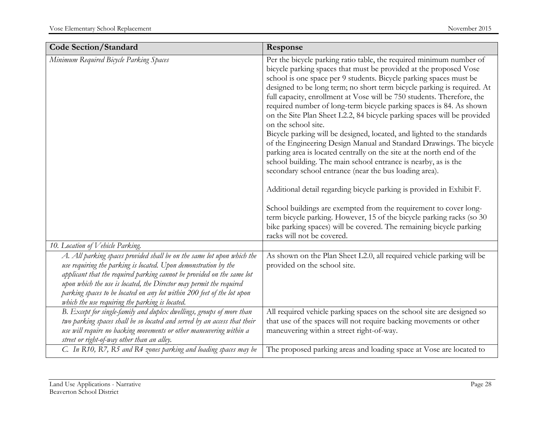| <b>Code Section/Standard</b>                                                                                                                                                                                                                                                                                                                                                                                             | Response                                                                                                                                                                                                                                                                                                                                                                                                                                                                                                                                                                                                                                                                                                                                                                                                                                                                                                                                                                                                                                                                                                                                                                                                                        |
|--------------------------------------------------------------------------------------------------------------------------------------------------------------------------------------------------------------------------------------------------------------------------------------------------------------------------------------------------------------------------------------------------------------------------|---------------------------------------------------------------------------------------------------------------------------------------------------------------------------------------------------------------------------------------------------------------------------------------------------------------------------------------------------------------------------------------------------------------------------------------------------------------------------------------------------------------------------------------------------------------------------------------------------------------------------------------------------------------------------------------------------------------------------------------------------------------------------------------------------------------------------------------------------------------------------------------------------------------------------------------------------------------------------------------------------------------------------------------------------------------------------------------------------------------------------------------------------------------------------------------------------------------------------------|
| Minimum Required Bicycle Parking Spaces                                                                                                                                                                                                                                                                                                                                                                                  | Per the bicycle parking ratio table, the required minimum number of<br>bicycle parking spaces that must be provided at the proposed Vose<br>school is one space per 9 students. Bicycle parking spaces must be<br>designed to be long term; no short term bicycle parking is required. At<br>full capacity, enrollment at Vose will be 750 students. Therefore, the<br>required number of long-term bicycle parking spaces is 84. As shown<br>on the Site Plan Sheet L2.2, 84 bicycle parking spaces will be provided<br>on the school site.<br>Bicycle parking will be designed, located, and lighted to the standards<br>of the Engineering Design Manual and Standard Drawings. The bicycle<br>parking area is located centrally on the site at the north end of the<br>school building. The main school entrance is nearby, as is the<br>secondary school entrance (near the bus loading area).<br>Additional detail regarding bicycle parking is provided in Exhibit F.<br>School buildings are exempted from the requirement to cover long-<br>term bicycle parking. However, 15 of the bicycle parking racks (so 30<br>bike parking spaces) will be covered. The remaining bicycle parking<br>racks will not be covered. |
| 10. Location of Vehicle Parking.                                                                                                                                                                                                                                                                                                                                                                                         |                                                                                                                                                                                                                                                                                                                                                                                                                                                                                                                                                                                                                                                                                                                                                                                                                                                                                                                                                                                                                                                                                                                                                                                                                                 |
| A. All parking spaces provided shall be on the same lot upon which the<br>use requiring the parking is located. Upon demonstration by the<br>applicant that the required parking cannot be provided on the same lot<br>upon which the use is located, the Director may permit the required<br>parking spaces to be located on any lot within 200 feet of the lot upon<br>which the use requiring the parking is located. | As shown on the Plan Sheet L2.0, all required vehicle parking will be<br>provided on the school site.                                                                                                                                                                                                                                                                                                                                                                                                                                                                                                                                                                                                                                                                                                                                                                                                                                                                                                                                                                                                                                                                                                                           |
| B. Except for single-family and duplex dwellings, groups of more than<br>two parking spaces shall be so located and served by an access that their<br>use will require no backing movements or other maneuvering within a<br>street or right-of-way other than an alley.<br>C. In R10, R7, R5 and R4 zones parking and loading spaces may be                                                                             | All required vehicle parking spaces on the school site are designed so<br>that use of the spaces will not require backing movements or other<br>maneuvering within a street right-of-way.<br>The proposed parking areas and loading space at Vose are located to                                                                                                                                                                                                                                                                                                                                                                                                                                                                                                                                                                                                                                                                                                                                                                                                                                                                                                                                                                |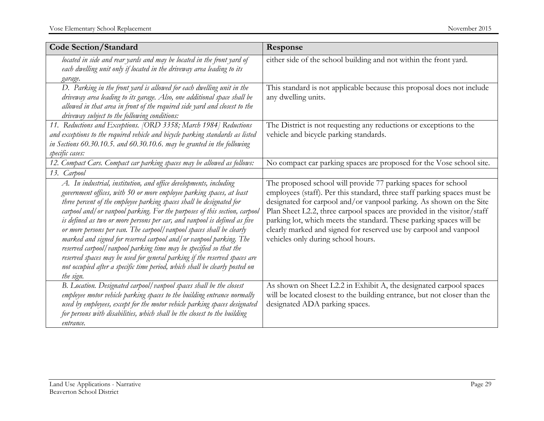| <b>Code Section/Standard</b>                                                                                                                                                                                                                                                                                                                                                                                                                                                                                                                                                                                                                                                                                                                                                 | Response                                                                                                                                                                                                                                                                                                                                                                                                                                                                      |
|------------------------------------------------------------------------------------------------------------------------------------------------------------------------------------------------------------------------------------------------------------------------------------------------------------------------------------------------------------------------------------------------------------------------------------------------------------------------------------------------------------------------------------------------------------------------------------------------------------------------------------------------------------------------------------------------------------------------------------------------------------------------------|-------------------------------------------------------------------------------------------------------------------------------------------------------------------------------------------------------------------------------------------------------------------------------------------------------------------------------------------------------------------------------------------------------------------------------------------------------------------------------|
| located in side and rear yards and may be located in the front yard of<br>each dwelling unit only if located in the driveway area leading to its<br>garage.                                                                                                                                                                                                                                                                                                                                                                                                                                                                                                                                                                                                                  | either side of the school building and not within the front yard.                                                                                                                                                                                                                                                                                                                                                                                                             |
| D. Parking in the front yard is allowed for each dwelling unit in the<br>driveway area leading to its garage. Also, one additional space shall be<br>allowed in that area in front of the required side yard and closest to the<br>driveway subject to the following conditions:                                                                                                                                                                                                                                                                                                                                                                                                                                                                                             | This standard is not applicable because this proposal does not include<br>any dwelling units.                                                                                                                                                                                                                                                                                                                                                                                 |
| 11. Reductions and Exceptions. [ORD 3358; March 1984] Reductions<br>and exceptions to the required vehicle and bicycle parking standards as listed<br>in Sections 60.30.10.5. and 60.30.10.6. may be granted in the following<br>specific cases:                                                                                                                                                                                                                                                                                                                                                                                                                                                                                                                             | The District is not requesting any reductions or exceptions to the<br>vehicle and bicycle parking standards.                                                                                                                                                                                                                                                                                                                                                                  |
| 12. Compact Cars. Compact car parking spaces may be allowed as follows:                                                                                                                                                                                                                                                                                                                                                                                                                                                                                                                                                                                                                                                                                                      | No compact car parking spaces are proposed for the Vose school site.                                                                                                                                                                                                                                                                                                                                                                                                          |
| 13. Carpool                                                                                                                                                                                                                                                                                                                                                                                                                                                                                                                                                                                                                                                                                                                                                                  |                                                                                                                                                                                                                                                                                                                                                                                                                                                                               |
| A. In industrial, institution, and office developments, including<br>government offices, with 50 or more employee parking spaces, at least<br>three percent of the employee parking spaces shall be designated for<br>carpool and/ or vanpool parking. For the purposes of this section, carpool<br>is defined as two or more persons per car, and vanpool is defined as five<br>or more persons per van. The carpool/vanpool spaces shall be clearly<br>marked and signed for reserved carpool and/ or vanpool parking. The<br>reserved carpool/vanpool parking time may be specified so that the<br>reserved spaces may be used for general parking if the reserved spaces are<br>not occupied after a specific time period, which shall be clearly posted on<br>the sign. | The proposed school will provide 77 parking spaces for school<br>employees (staff). Per this standard, three staff parking spaces must be<br>designated for carpool and/or vanpool parking. As shown on the Site<br>Plan Sheet L2.2, three carpool spaces are provided in the visitor/staff<br>parking lot, which meets the standard. These parking spaces will be<br>clearly marked and signed for reserved use by carpool and vanpool<br>vehicles only during school hours. |
| B. Location. Designated carpool/vanpool spaces shall be the closest<br>employee motor vehicle parking spaces to the building entrance normally<br>used by employees, except for the motor vehicle parking spaces designated<br>for persons with disabilities, which shall be the closest to the building<br>entrance.                                                                                                                                                                                                                                                                                                                                                                                                                                                        | As shown on Sheet L2.2 in Exhibit A, the designated carpool spaces<br>will be located closest to the building entrance, but not closer than the<br>designated ADA parking spaces.                                                                                                                                                                                                                                                                                             |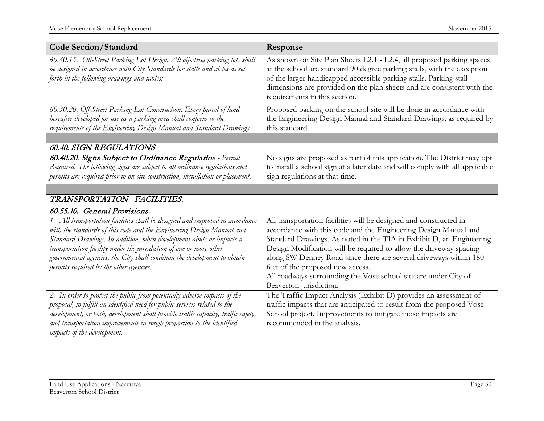| <b>Code Section/Standard</b>                                                                                                                                                                                                                                                                                                                                                                                                 | Response                                                                                                                                                                                                                                                                                                                                                                                                                                                                                 |
|------------------------------------------------------------------------------------------------------------------------------------------------------------------------------------------------------------------------------------------------------------------------------------------------------------------------------------------------------------------------------------------------------------------------------|------------------------------------------------------------------------------------------------------------------------------------------------------------------------------------------------------------------------------------------------------------------------------------------------------------------------------------------------------------------------------------------------------------------------------------------------------------------------------------------|
| 60.30.15. Off-Street Parking Lot Design. All off-street parking lots shall<br>be designed in accordance with City Standards for stalls and aisles as set<br>forth in the following drawings and tables:                                                                                                                                                                                                                      | As shown on Site Plan Sheets L2.1 - L2.4, all proposed parking spaces<br>at the school are standard 90 degree parking stalls, with the exception<br>of the larger handicapped accessible parking stalls. Parking stall<br>dimensions are provided on the plan sheets and are consistent with the<br>requirements in this section.                                                                                                                                                        |
| 60.30.20. Off-Street Parking Lot Construction. Every parcel of land<br>hereafter developed for use as a parking area shall conform to the<br>requirements of the Engineering Design Manual and Standard Drawings.                                                                                                                                                                                                            | Proposed parking on the school site will be done in accordance with<br>the Engineering Design Manual and Standard Drawings, as required by<br>this standard.                                                                                                                                                                                                                                                                                                                             |
|                                                                                                                                                                                                                                                                                                                                                                                                                              |                                                                                                                                                                                                                                                                                                                                                                                                                                                                                          |
| <b>60.40. SIGN REGULATIONS</b><br>60.40.20. Signs Subject to Ordinance Regulation - Permit<br>Required. The following signs are subject to all ordinance regulations and<br>permits are required prior to on-site construction, installation or placement.                                                                                                                                                                   | No signs are proposed as part of this application. The District may opt<br>to install a school sign at a later date and will comply with all applicable<br>sign regulations at that time.                                                                                                                                                                                                                                                                                                |
|                                                                                                                                                                                                                                                                                                                                                                                                                              |                                                                                                                                                                                                                                                                                                                                                                                                                                                                                          |
| TRANSPORTATION FACILITIES.                                                                                                                                                                                                                                                                                                                                                                                                   |                                                                                                                                                                                                                                                                                                                                                                                                                                                                                          |
| 60.55.10. General Provisions.                                                                                                                                                                                                                                                                                                                                                                                                |                                                                                                                                                                                                                                                                                                                                                                                                                                                                                          |
| 1. All transportation facilities shall be designed and improved in accordance<br>with the standards of this code and the Engineering Design Manual and<br>Standard Drawings. In addition, when development abuts or impacts a<br>transportation facility under the jurisdiction of one or more other<br>governmental agencies, the City shall condition the development to obtain<br>permits required by the other agencies. | All transportation facilities will be designed and constructed in<br>accordance with this code and the Engineering Design Manual and<br>Standard Drawings. As noted in the TIA in Exhibit D, an Engineering<br>Design Modification will be required to allow the driveway spacing<br>along SW Denney Road since there are several driveways within 180<br>feet of the proposed new access.<br>All roadways surrounding the Vose school site are under City of<br>Beaverton jurisdiction. |
| 2. In order to protect the public from potentially adverse impacts of the<br>proposal, to fulfill an identified need for public services related to the<br>development, or both, development shall provide traffic capacity, traffic safety,<br>and transportation improvements in rough proportion to the identified<br><i>impacts of the development.</i>                                                                  | The Traffic Impact Analysis (Exhibit D) provides an assessment of<br>traffic impacts that are anticipated to result from the proposed Vose<br>School project. Improvements to mitigate those impacts are<br>recommended in the analysis.                                                                                                                                                                                                                                                 |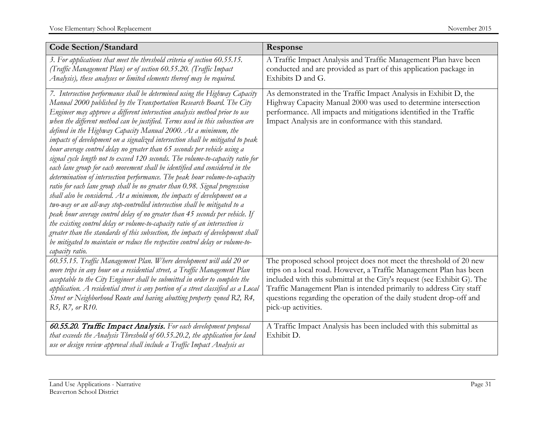| <b>Code Section/Standard</b>                                                                                                                                                                                                                                                                                                                                                                                                                                                                                                                                                                                                                                                                                                                                                                                                                                                                                                                                                                                                                                                                                                                                                                                                                                                                                                                                                                        | Response                                                                                                                                                                                                                                                                                                                                                                                |
|-----------------------------------------------------------------------------------------------------------------------------------------------------------------------------------------------------------------------------------------------------------------------------------------------------------------------------------------------------------------------------------------------------------------------------------------------------------------------------------------------------------------------------------------------------------------------------------------------------------------------------------------------------------------------------------------------------------------------------------------------------------------------------------------------------------------------------------------------------------------------------------------------------------------------------------------------------------------------------------------------------------------------------------------------------------------------------------------------------------------------------------------------------------------------------------------------------------------------------------------------------------------------------------------------------------------------------------------------------------------------------------------------------|-----------------------------------------------------------------------------------------------------------------------------------------------------------------------------------------------------------------------------------------------------------------------------------------------------------------------------------------------------------------------------------------|
| 3. For applications that meet the threshold criteria of section 60.55.15.<br>(Traffic Management Plan) or of section 60.55.20. (Traffic Impact<br>Analysis), these analyses or limited elements thereof may be required.                                                                                                                                                                                                                                                                                                                                                                                                                                                                                                                                                                                                                                                                                                                                                                                                                                                                                                                                                                                                                                                                                                                                                                            | A Traffic Impact Analysis and Traffic Management Plan have been<br>conducted and are provided as part of this application package in<br>Exhibits D and G.                                                                                                                                                                                                                               |
| 7. Intersection performance shall be determined using the Highway Capacity<br>Manual 2000 published by the Transportation Research Board. The City<br>Engineer may approve a different intersection analysis method prior to use<br>when the different method can be justified. Terms used in this subsection are<br>defined in the Highway Capacity Manual 2000. At a minimum, the<br>impacts of development on a signalized intersection shall be mitigated to peak<br>hour average control delay no greater than 65 seconds per vehicle using a<br>signal cycle length not to exceed 120 seconds. The volume-to-capacity ratio for<br>each lane group for each movement shall be identified and considered in the<br>determination of intersection performance. The peak hour volume-to-capacity<br>ratio for each lane group shall be no greater than 0.98. Signal progression<br>shall also be considered. At a minimum, the impacts of development on a<br>two-way or an all-way stop-controlled intersection shall be mitigated to a<br>peak hour average control delay of no greater than 45 seconds per vehicle. If<br>the existing control delay or volume-to-capacity ratio of an intersection is<br>greater than the standards of this subsection, the impacts of development shall<br>be mitigated to maintain or reduce the respective control delay or volume-to-<br>capacity ratio. | As demonstrated in the Traffic Impact Analysis in Exhibit D, the<br>Highway Capacity Manual 2000 was used to determine intersection<br>performance. All impacts and mitigations identified in the Traffic<br>Impact Analysis are in conformance with this standard.                                                                                                                     |
| 60.55.15. Traffic Management Plan. Where development will add 20 or<br>more trips in any hour on a residential street, a Traffic Management Plan<br>acceptable to the City Engineer shall be submitted in order to complete the<br>application. A residential street is any portion of a street classified as a Local<br>Street or Neighborhood Route and having abutting property zoned R2, R4,<br>R5, R7, or R10.                                                                                                                                                                                                                                                                                                                                                                                                                                                                                                                                                                                                                                                                                                                                                                                                                                                                                                                                                                                 | The proposed school project does not meet the threshold of 20 new<br>trips on a local road. However, a Traffic Management Plan has been<br>included with this submittal at the City's request (see Exhibit G). The<br>Traffic Management Plan is intended primarily to address City staff<br>questions regarding the operation of the daily student drop-off and<br>pick-up activities. |
| 60.55.20. Traffic Impact Analysis. For each development proposal<br>that exceeds the Analysis Threshold of 60.55.20.2, the application for land<br>use or design review approval shall include a Traffic Impact Analysis as                                                                                                                                                                                                                                                                                                                                                                                                                                                                                                                                                                                                                                                                                                                                                                                                                                                                                                                                                                                                                                                                                                                                                                         | A Traffic Impact Analysis has been included with this submittal as<br>Exhibit D.                                                                                                                                                                                                                                                                                                        |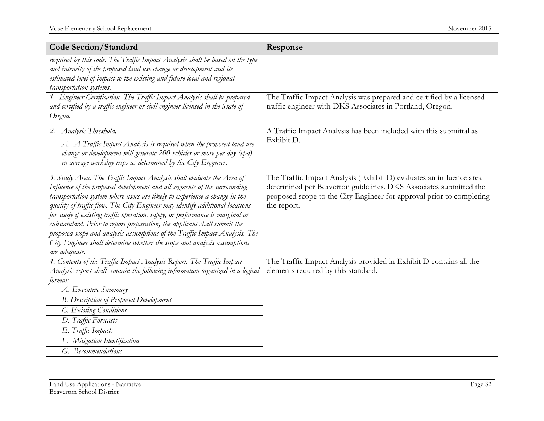| <b>Code Section/Standard</b>                                                                                                                                                                                                                                                                                                                                                                                                                                                                                                                                                                                                                               | Response                                                                                                                                                                                                                        |
|------------------------------------------------------------------------------------------------------------------------------------------------------------------------------------------------------------------------------------------------------------------------------------------------------------------------------------------------------------------------------------------------------------------------------------------------------------------------------------------------------------------------------------------------------------------------------------------------------------------------------------------------------------|---------------------------------------------------------------------------------------------------------------------------------------------------------------------------------------------------------------------------------|
| required by this code. The Traffic Impact Analysis shall be based on the type<br>and intensity of the proposed land use change or development and its<br>estimated level of impact to the existing and future local and regional<br>transportation systems.                                                                                                                                                                                                                                                                                                                                                                                                |                                                                                                                                                                                                                                 |
| 1. Engineer Certification. The Traffic Impact Analysis shall be prepared<br>and certified by a traffic engineer or civil engineer licensed in the State of<br>Oregon.                                                                                                                                                                                                                                                                                                                                                                                                                                                                                      | The Traffic Impact Analysis was prepared and certified by a licensed<br>traffic engineer with DKS Associates in Portland, Oregon.                                                                                               |
| 2. Analysis Threshold.<br>A. A Traffic Impact Analysis is required when the proposed land use<br>change or development will generate 200 vehicles or more per day (vpd)<br>in average weekday trips as determined by the City Engineer.                                                                                                                                                                                                                                                                                                                                                                                                                    | A Traffic Impact Analysis has been included with this submittal as<br>Exhibit D.                                                                                                                                                |
| 3. Study Area. The Traffic Impact Analysis shall evaluate the Area of<br>Influence of the proposed development and all segments of the surrounding<br>transportation system where users are likely to experience a change in the<br>quality of traffic flow. The City Engineer may identify additional locations<br>for study if existing traffic operation, safety, or performance is marginal or<br>substandard. Prior to report preparation, the applicant shall submit the<br>proposed scope and analysis assumptions of the Traffic Impact Analysis. The<br>City Engineer shall determine whether the scope and analysis assumptions<br>are adequate. | The Traffic Impact Analysis (Exhibit D) evaluates an influence area<br>determined per Beaverton guidelines. DKS Associates submitted the<br>proposed scope to the City Engineer for approval prior to completing<br>the report. |
| 4. Contents of the Traffic Impact Analysis Report. The Traffic Impact                                                                                                                                                                                                                                                                                                                                                                                                                                                                                                                                                                                      | The Traffic Impact Analysis provided in Exhibit D contains all the                                                                                                                                                              |
| Analysis report shall contain the following information organized in a logical<br>format:                                                                                                                                                                                                                                                                                                                                                                                                                                                                                                                                                                  | elements required by this standard.                                                                                                                                                                                             |
| A. Executive Summary                                                                                                                                                                                                                                                                                                                                                                                                                                                                                                                                                                                                                                       |                                                                                                                                                                                                                                 |
| <b>B.</b> Description of Proposed Development                                                                                                                                                                                                                                                                                                                                                                                                                                                                                                                                                                                                              |                                                                                                                                                                                                                                 |
| C. Existing Conditions                                                                                                                                                                                                                                                                                                                                                                                                                                                                                                                                                                                                                                     |                                                                                                                                                                                                                                 |
| D. Traffic Forecasts                                                                                                                                                                                                                                                                                                                                                                                                                                                                                                                                                                                                                                       |                                                                                                                                                                                                                                 |
| E. Traffic Impacts                                                                                                                                                                                                                                                                                                                                                                                                                                                                                                                                                                                                                                         |                                                                                                                                                                                                                                 |
| F. Mitigation Identification                                                                                                                                                                                                                                                                                                                                                                                                                                                                                                                                                                                                                               |                                                                                                                                                                                                                                 |
| G. Recommendations                                                                                                                                                                                                                                                                                                                                                                                                                                                                                                                                                                                                                                         |                                                                                                                                                                                                                                 |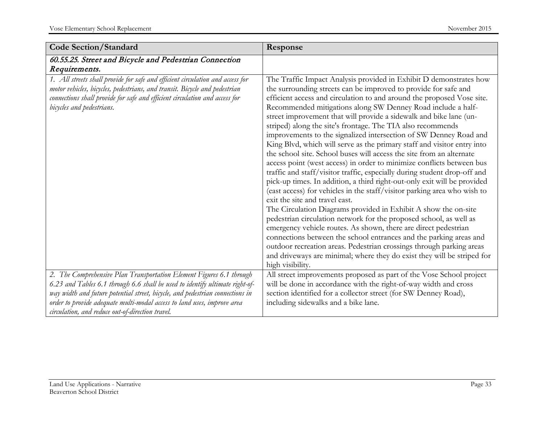| <b>Code Section/Standard</b>                                                                                                                                                                                                                                             | Response                                                                                                                                                                                                                                                                                                                                                                                                                                                                                                                                                                                                                                                                                                                                                                                                                                                                                                                                                                                                                                                                                                                                                                                                                                                                                                                                                                                                                                              |
|--------------------------------------------------------------------------------------------------------------------------------------------------------------------------------------------------------------------------------------------------------------------------|-------------------------------------------------------------------------------------------------------------------------------------------------------------------------------------------------------------------------------------------------------------------------------------------------------------------------------------------------------------------------------------------------------------------------------------------------------------------------------------------------------------------------------------------------------------------------------------------------------------------------------------------------------------------------------------------------------------------------------------------------------------------------------------------------------------------------------------------------------------------------------------------------------------------------------------------------------------------------------------------------------------------------------------------------------------------------------------------------------------------------------------------------------------------------------------------------------------------------------------------------------------------------------------------------------------------------------------------------------------------------------------------------------------------------------------------------------|
| 60.55.25. Street and Bicycle and Pedestrian Connection<br>Requirements.                                                                                                                                                                                                  |                                                                                                                                                                                                                                                                                                                                                                                                                                                                                                                                                                                                                                                                                                                                                                                                                                                                                                                                                                                                                                                                                                                                                                                                                                                                                                                                                                                                                                                       |
| 1. All streets shall provide for safe and efficient circulation and access for<br>motor vehicles, bicycles, pedestrians, and transit. Bicycle and pedestrian<br>connections shall provide for safe and efficient circulation and access for<br>bicycles and pedestrians. | The Traffic Impact Analysis provided in Exhibit D demonstrates how<br>the surrounding streets can be improved to provide for safe and<br>efficient access and circulation to and around the proposed Vose site.<br>Recommended mitigations along SW Denney Road include a half-<br>street improvement that will provide a sidewalk and bike lane (un-<br>striped) along the site's frontage. The TIA also recommends<br>improvements to the signalized intersection of SW Denney Road and<br>King Blvd, which will serve as the primary staff and visitor entry into<br>the school site. School buses will access the site from an alternate<br>access point (west access) in order to minimize conflicts between bus<br>traffic and staff/visitor traffic, especially during student drop-off and<br>pick-up times. In addition, a third right-out-only exit will be provided<br>(east access) for vehicles in the staff/visitor parking area who wish to<br>exit the site and travel east.<br>The Circulation Diagrams provided in Exhibit A show the on-site<br>pedestrian circulation network for the proposed school, as well as<br>emergency vehicle routes. As shown, there are direct pedestrian<br>connections between the school entrances and the parking areas and<br>outdoor recreation areas. Pedestrian crossings through parking areas<br>and driveways are minimal; where they do exist they will be striped for<br>high visibility. |
| 2. The Comprehensive Plan Transportation Element Figures 6.1 through<br>6.23 and Tables 6.1 through 6.6 shall be used to identify ultimate right-of-                                                                                                                     | All street improvements proposed as part of the Vose School project<br>will be done in accordance with the right-of-way width and cross                                                                                                                                                                                                                                                                                                                                                                                                                                                                                                                                                                                                                                                                                                                                                                                                                                                                                                                                                                                                                                                                                                                                                                                                                                                                                                               |
| way width and future potential street, bicycle, and pedestrian connections in                                                                                                                                                                                            | section identified for a collector street (for SW Denney Road),                                                                                                                                                                                                                                                                                                                                                                                                                                                                                                                                                                                                                                                                                                                                                                                                                                                                                                                                                                                                                                                                                                                                                                                                                                                                                                                                                                                       |
| order to provide adequate multi-modal access to land uses, improve area<br>circulation, and reduce out-of-direction travel.                                                                                                                                              | including sidewalks and a bike lane.                                                                                                                                                                                                                                                                                                                                                                                                                                                                                                                                                                                                                                                                                                                                                                                                                                                                                                                                                                                                                                                                                                                                                                                                                                                                                                                                                                                                                  |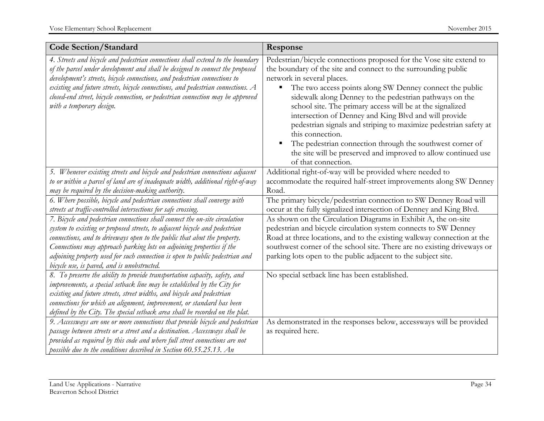| <b>Code Section/Standard</b>                                                                                                                                                                                                                                                                                                                                                                                                                                              | Response                                                                                                                                                                                                                                                                                                                                                                                                                                                                                                                                                                                                                                                       |
|---------------------------------------------------------------------------------------------------------------------------------------------------------------------------------------------------------------------------------------------------------------------------------------------------------------------------------------------------------------------------------------------------------------------------------------------------------------------------|----------------------------------------------------------------------------------------------------------------------------------------------------------------------------------------------------------------------------------------------------------------------------------------------------------------------------------------------------------------------------------------------------------------------------------------------------------------------------------------------------------------------------------------------------------------------------------------------------------------------------------------------------------------|
| 4. Streets and bicycle and pedestrian connections shall extend to the boundary<br>of the parcel under development and shall be designed to connect the proposed<br>development's streets, bicycle connections, and pedestrian connections to<br>existing and future streets, bicycle connections, and pedestrian connections. A<br>closed-end street, bicycle connection, or pedestrian connection may be approved<br>with a temporary design.                            | Pedestrian/bicycle connections proposed for the Vose site extend to<br>the boundary of the site and connect to the surrounding public<br>network in several places.<br>The two access points along SW Denney connect the public<br>sidewalk along Denney to the pedestrian pathways on the<br>school site. The primary access will be at the signalized<br>intersection of Denney and King Blvd and will provide<br>pedestrian signals and striping to maximize pedestrian safety at<br>this connection.<br>The pedestrian connection through the southwest corner of<br>the site will be preserved and improved to allow continued use<br>of that connection. |
| 5. Whenever existing streets and bicycle and pedestrian connections adjacent<br>to or within a parcel of land are of inadequate width, additional right-of-way<br>may be required by the decision-making authority.                                                                                                                                                                                                                                                       | Additional right-of-way will be provided where needed to<br>accommodate the required half-street improvements along SW Denney<br>Road.                                                                                                                                                                                                                                                                                                                                                                                                                                                                                                                         |
| 6. Where possible, bicycle and pedestrian connections shall converge with<br>streets at traffic-controlled intersections for safe crossing.                                                                                                                                                                                                                                                                                                                               | The primary bicycle/pedestrian connection to SW Denney Road will<br>occur at the fully signalized intersection of Denney and King Blvd.                                                                                                                                                                                                                                                                                                                                                                                                                                                                                                                        |
| 7. Bicycle and pedestrian connections shall connect the on-site circulation<br>system to existing or proposed streets, to adjacent bicycle and pedestrian<br>connections, and to driveways open to the public that abut the property.<br>Connections may approach parking lots on adjoining properties if the<br>adjoining property used for such connection is open to public pedestrian and<br>bicycle use, is paved, and is unobstructed.                              | As shown on the Circulation Diagrams in Exhibit A, the on-site<br>pedestrian and bicycle circulation system connects to SW Denney<br>Road at three locations, and to the existing walkway connection at the<br>southwest corner of the school site. There are no existing driveways or<br>parking lots open to the public adjacent to the subject site.                                                                                                                                                                                                                                                                                                        |
| 8. To preserve the ability to provide transportation capacity, safety, and<br>improvements, a special setback line may be established by the City for<br>existing and future streets, street widths, and bicycle and pedestrian<br>connections for which an alignment, improvement, or standard has been<br>defined by the City. The special setback area shall be recorded on the plat.<br>9. Accessways are one or more connections that provide bicycle and pedestrian | No special setback line has been established.<br>As demonstrated in the responses below, accessways will be provided                                                                                                                                                                                                                                                                                                                                                                                                                                                                                                                                           |
| passage between streets or a street and a destination. Accessways shall be<br>provided as required by this code and where full street connections are not<br>possible due to the conditions described in Section 60.55.25.13. An                                                                                                                                                                                                                                          | as required here.                                                                                                                                                                                                                                                                                                                                                                                                                                                                                                                                                                                                                                              |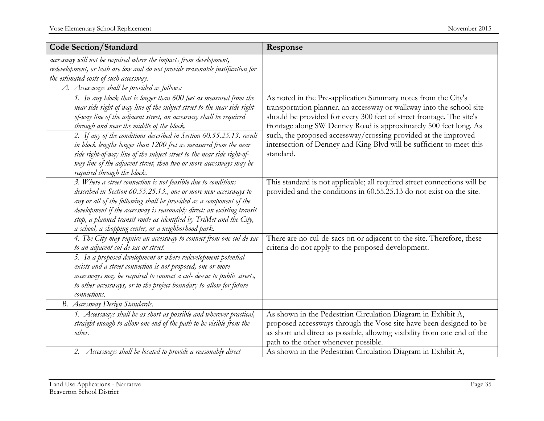| <b>Code Section/Standard</b>                                                                                                                                                                                                                                                                                                                                                                                       | Response                                                                                                                                                                                                                                                                                                                                            |
|--------------------------------------------------------------------------------------------------------------------------------------------------------------------------------------------------------------------------------------------------------------------------------------------------------------------------------------------------------------------------------------------------------------------|-----------------------------------------------------------------------------------------------------------------------------------------------------------------------------------------------------------------------------------------------------------------------------------------------------------------------------------------------------|
| accessway will not be required where the impacts from development,<br>redevelopment, or both are low and do not provide reasonable justification for<br>the estimated costs of such accessway.                                                                                                                                                                                                                     |                                                                                                                                                                                                                                                                                                                                                     |
| A. Accessways shall be provided as follows:                                                                                                                                                                                                                                                                                                                                                                        |                                                                                                                                                                                                                                                                                                                                                     |
| 1. In any block that is longer than 600 feet as measured from the<br>near side right-of-way line of the subject street to the near side right-<br>of-way line of the adjacent street, an accessway shall be required<br>through and near the middle of the block.<br>2. If any of the conditions described in Section 60.55.25.13. result                                                                          | As noted in the Pre-application Summary notes from the City's<br>transportation planner, an accessway or walkway into the school site<br>should be provided for every 300 feet of street frontage. The site's<br>frontage along SW Denney Road is approximately 500 feet long. As<br>such, the proposed accessway/crossing provided at the improved |
| in block lengths longer than 1200 feet as measured from the near<br>side right-of-way line of the subject street to the near side right-of-<br>way line of the adjacent street, then two or more accessways may be<br>required through the block.                                                                                                                                                                  | intersection of Denney and King Blvd will be sufficient to meet this<br>standard.                                                                                                                                                                                                                                                                   |
| 3. Where a street connection is not feasible due to conditions<br>described in Section 60.55.25.13., one or more new accessways to<br>any or all of the following shall be provided as a component of the<br>development if the accessway is reasonably direct: an existing transit<br>stop, a planned transit route as identified by TriMet and the City,<br>a school, a shopping center, or a neighborhood park. | This standard is not applicable; all required street connections will be<br>provided and the conditions in 60.55.25.13 do not exist on the site.                                                                                                                                                                                                    |
| 4. The City may require an accessway to connect from one cul-de-sac<br>to an adjacent cul-de-sac or street.<br>5. In a proposed development or where redevelopment potential<br>exists and a street connection is not proposed, one or more<br>accessways may be required to connect a cul- de-sac to public streets,<br>to other accessways, or to the project boundary to allow for future<br>connections.       | There are no cul-de-sacs on or adjacent to the site. Therefore, these<br>criteria do not apply to the proposed development.                                                                                                                                                                                                                         |
| B. Accessway Design Standards.                                                                                                                                                                                                                                                                                                                                                                                     |                                                                                                                                                                                                                                                                                                                                                     |
| 1. Accessways shall be as short as possible and wherever practical,<br>straight enough to allow one end of the path to be visible from the<br>other.                                                                                                                                                                                                                                                               | As shown in the Pedestrian Circulation Diagram in Exhibit A,<br>proposed accessways through the Vose site have been designed to be<br>as short and direct as possible, allowing visibility from one end of the<br>path to the other whenever possible.                                                                                              |
| 2. Accessways shall be located to provide a reasonably direct                                                                                                                                                                                                                                                                                                                                                      | As shown in the Pedestrian Circulation Diagram in Exhibit A,                                                                                                                                                                                                                                                                                        |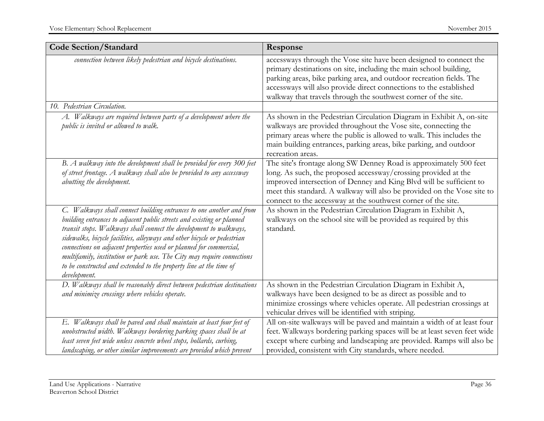| <b>Code Section/Standard</b>                                                                                                                                                                                                                                                                                                                                                                                                                                                                                                          | Response                                                                                                                                                                                                                                                                                                                                                |
|---------------------------------------------------------------------------------------------------------------------------------------------------------------------------------------------------------------------------------------------------------------------------------------------------------------------------------------------------------------------------------------------------------------------------------------------------------------------------------------------------------------------------------------|---------------------------------------------------------------------------------------------------------------------------------------------------------------------------------------------------------------------------------------------------------------------------------------------------------------------------------------------------------|
| connection between likely pedestrian and bicycle destinations.                                                                                                                                                                                                                                                                                                                                                                                                                                                                        | accessways through the Vose site have been designed to connect the<br>primary destinations on site, including the main school building,<br>parking areas, bike parking area, and outdoor recreation fields. The<br>accessways will also provide direct connections to the established<br>walkway that travels through the southwest corner of the site. |
| 10. Pedestrian Circulation.                                                                                                                                                                                                                                                                                                                                                                                                                                                                                                           |                                                                                                                                                                                                                                                                                                                                                         |
| A. Walkways are required between parts of a development where the<br>public is invited or allowed to walk.                                                                                                                                                                                                                                                                                                                                                                                                                            | As shown in the Pedestrian Circulation Diagram in Exhibit A, on-site<br>walkways are provided throughout the Vose site, connecting the<br>primary areas where the public is allowed to walk. This includes the<br>main building entrances, parking areas, bike parking, and outdoor<br>recreation areas.                                                |
| B. A walkway into the development shall be provided for every 300 feet<br>of street frontage. A walkway shall also be provided to any accessway<br>abutting the development.                                                                                                                                                                                                                                                                                                                                                          | The site's frontage along SW Denney Road is approximately 500 feet<br>long. As such, the proposed accessway/crossing provided at the<br>improved intersection of Denney and King Blvd will be sufficient to<br>meet this standard. A walkway will also be provided on the Vose site to<br>connect to the accessway at the southwest corner of the site. |
| C. Walkways shall connect building entrances to one another and from<br>building entrances to adjacent public streets and existing or planned<br>transit stops. Walkways shall connect the development to walkways,<br>sidewalks, bicycle facilities, alleyways and other bicycle or pedestrian<br>connections on adjacent properties used or planned for commercial,<br>multifamily, institution or park use. The City may require connections<br>to be constructed and extended to the property line at the time of<br>development. | As shown in the Pedestrian Circulation Diagram in Exhibit A,<br>walkways on the school site will be provided as required by this<br>standard.                                                                                                                                                                                                           |
| D. Walkways shall be reasonably direct between pedestrian destinations<br>and minimize crossings where vehicles operate.                                                                                                                                                                                                                                                                                                                                                                                                              | As shown in the Pedestrian Circulation Diagram in Exhibit A,<br>walkways have been designed to be as direct as possible and to<br>minimize crossings where vehicles operate. All pedestrian crossings at<br>vehicular drives will be identified with striping.                                                                                          |
| E. Walkways shall be paved and shall maintain at least four feet of<br>unobstructed width. Walkways bordering parking spaces shall be at<br>least seven feet wide unless concrete wheel stops, bollards, curbing,<br>landscaping, or other similar improvements are provided which prevent                                                                                                                                                                                                                                            | All on-site walkways will be paved and maintain a width of at least four<br>feet. Walkways bordering parking spaces will be at least seven feet wide<br>except where curbing and landscaping are provided. Ramps will also be<br>provided, consistent with City standards, where needed.                                                                |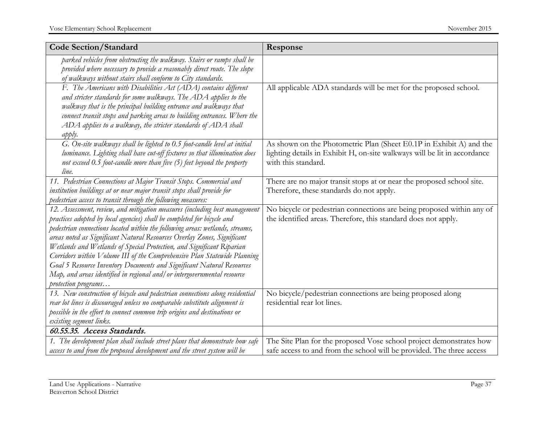| <b>Code Section/Standard</b>                                                                                                                                                                                                                                                                                                                                                                                                                                                                                                                                                                                                                      | Response                                                                                                                                                                |
|---------------------------------------------------------------------------------------------------------------------------------------------------------------------------------------------------------------------------------------------------------------------------------------------------------------------------------------------------------------------------------------------------------------------------------------------------------------------------------------------------------------------------------------------------------------------------------------------------------------------------------------------------|-------------------------------------------------------------------------------------------------------------------------------------------------------------------------|
| parked vehicles from obstructing the walkway. Stairs or ramps shall be<br>provided where necessary to provide a reasonably direct route. The slope<br>of walkways without stairs shall conform to City standards.                                                                                                                                                                                                                                                                                                                                                                                                                                 |                                                                                                                                                                         |
| F. The Americans with Disabilities Act (ADA) contains different<br>and stricter standards for some walkways. The ADA applies to the<br>walkway that is the principal building entrance and walkways that<br>connect transit stops and parking areas to building entrances. Where the<br>ADA applies to a walkway, the stricter standards of ADA shall<br>apply.                                                                                                                                                                                                                                                                                   | All applicable ADA standards will be met for the proposed school.                                                                                                       |
| G. On-site walkways shall be lighted to 0.5 foot-candle level at initial<br>luminance. Lighting shall have cut-off fixtures so that illumination does<br>not exceed $0.5$ foot-candle more than five $(5)$ feet beyond the property<br>line.                                                                                                                                                                                                                                                                                                                                                                                                      | As shown on the Photometric Plan (Sheet E0.1P in Exhibit A) and the<br>lighting details in Exhibit H, on-site walkways will be lit in accordance<br>with this standard. |
| 11. Pedestrian Connections at Major Transit Stops. Commercial and<br>institution buildings at or near major transit stops shall provide for<br>pedestrian access to transit through the following measures:                                                                                                                                                                                                                                                                                                                                                                                                                                       | There are no major transit stops at or near the proposed school site.<br>Therefore, these standards do not apply.                                                       |
| 12. Assessment, review, and mitigation measures (including best management<br>practices adopted by local agencies) shall be completed for bicycle and<br>pedestrian connections located within the following areas: wetlands, streams,<br>areas noted as Significant Natural Resources Overlay Zones, Significant<br>Wetlands and Wetlands of Special Protection, and Significant Riparian<br>Corridors within Volume III of the Comprehensive Plan Statewide Planning<br>Goal 5 Resource Inventory Documents and Significant Natural Resources<br>Map, and areas identified in regional and/or intergovernmental resource<br>protection programs | No bicycle or pedestrian connections are being proposed within any of<br>the identified areas. Therefore, this standard does not apply.                                 |
| 13. New construction of bicycle and pedestrian connections along residential<br>rear lot lines is discouraged unless no comparable substitute alignment is<br>possible in the effort to connect common trip origins and destinations or<br>existing segment links.                                                                                                                                                                                                                                                                                                                                                                                | No bicycle/pedestrian connections are being proposed along<br>residential rear lot lines.                                                                               |
| 60.55.35. Access Standards.                                                                                                                                                                                                                                                                                                                                                                                                                                                                                                                                                                                                                       |                                                                                                                                                                         |
| 1. The development plan shall include street plans that demonstrate how safe<br>access to and from the proposed development and the street system will be                                                                                                                                                                                                                                                                                                                                                                                                                                                                                         | The Site Plan for the proposed Vose school project demonstrates how<br>safe access to and from the school will be provided. The three access                            |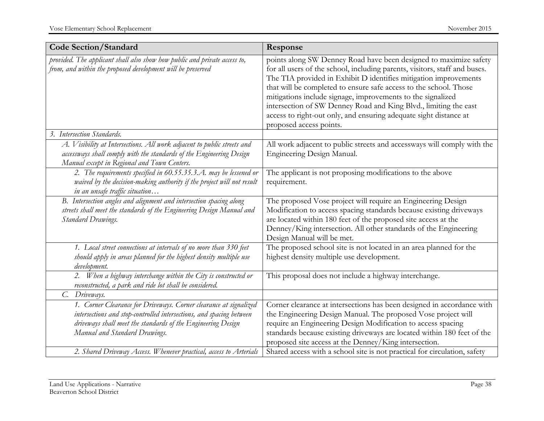| <b>Code Section/Standard</b>                                                                                                                                                                                                               | Response                                                                                                                                                                                                                                                                                                                                                                                                                                                                                                                    |
|--------------------------------------------------------------------------------------------------------------------------------------------------------------------------------------------------------------------------------------------|-----------------------------------------------------------------------------------------------------------------------------------------------------------------------------------------------------------------------------------------------------------------------------------------------------------------------------------------------------------------------------------------------------------------------------------------------------------------------------------------------------------------------------|
| provided. The applicant shall also show how public and private access to,<br>from, and within the proposed development will be preserved                                                                                                   | points along SW Denney Road have been designed to maximize safety<br>for all users of the school, including parents, visitors, staff and buses.<br>The TIA provided in Exhibit D identifies mitigation improvements<br>that will be completed to ensure safe access to the school. Those<br>mitigations include signage, improvements to the signalized<br>intersection of SW Denney Road and King Blvd., limiting the east<br>access to right-out only, and ensuring adequate sight distance at<br>proposed access points. |
| 3. Intersection Standards.                                                                                                                                                                                                                 |                                                                                                                                                                                                                                                                                                                                                                                                                                                                                                                             |
| A. Visibility at Intersections. All work adjacent to public streets and<br>accessways shall comply with the standards of the Engineering Design<br>Manual except in Regional and Town Centers.                                             | All work adjacent to public streets and accessways will comply with the<br>Engineering Design Manual.                                                                                                                                                                                                                                                                                                                                                                                                                       |
| 2. The requirements specified in 60.55.35.3.A. may be lessened or<br>waived by the decision-making authority if the project will not result<br>in an unsafe traffic situation                                                              | The applicant is not proposing modifications to the above<br>requirement.                                                                                                                                                                                                                                                                                                                                                                                                                                                   |
| B. Intersection angles and alignment and intersection spacing along<br>streets shall meet the standards of the Engineering Design Manual and<br><b>Standard Drawings.</b>                                                                  | The proposed Vose project will require an Engineering Design<br>Modification to access spacing standards because existing driveways<br>are located within 180 feet of the proposed site access at the<br>Denney/King intersection. All other standards of the Engineering<br>Design Manual will be met.                                                                                                                                                                                                                     |
| 1. Local street connections at intervals of no more than 330 feet<br>should apply in areas planned for the highest density multiple use<br>development.                                                                                    | The proposed school site is not located in an area planned for the<br>highest density multiple use development.                                                                                                                                                                                                                                                                                                                                                                                                             |
| 2. When a highway interchange within the City is constructed or<br>reconstructed, a park and ride lot shall be considered.                                                                                                                 | This proposal does not include a highway interchange.                                                                                                                                                                                                                                                                                                                                                                                                                                                                       |
| C. Driveways.                                                                                                                                                                                                                              |                                                                                                                                                                                                                                                                                                                                                                                                                                                                                                                             |
| 1. Corner Clearance for Driveways. Corner clearance at signalized<br>intersections and stop-controlled intersections, and spacing between<br>driveways shall meet the standards of the Engineering Design<br>Manual and Standard Drawings. | Corner clearance at intersections has been designed in accordance with<br>the Engineering Design Manual. The proposed Vose project will<br>require an Engineering Design Modification to access spacing<br>standards because existing driveways are located within 180 feet of the<br>proposed site access at the Denney/King intersection.                                                                                                                                                                                 |
| 2. Shared Driveway Access. Whenever practical, access to Arterials                                                                                                                                                                         | Shared access with a school site is not practical for circulation, safety                                                                                                                                                                                                                                                                                                                                                                                                                                                   |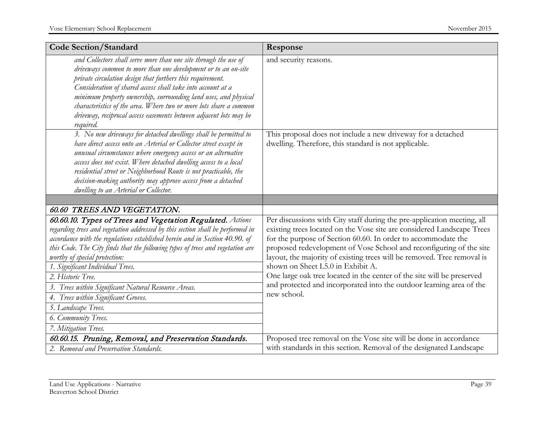| <b>Code Section/Standard</b>                                                                                                                                                                                                                                                                                                                                                                                                                                                                                                                                                | Response                                                                                                                                                                                                                                                                                                                                                                                                                                                                                                                                                                   |
|-----------------------------------------------------------------------------------------------------------------------------------------------------------------------------------------------------------------------------------------------------------------------------------------------------------------------------------------------------------------------------------------------------------------------------------------------------------------------------------------------------------------------------------------------------------------------------|----------------------------------------------------------------------------------------------------------------------------------------------------------------------------------------------------------------------------------------------------------------------------------------------------------------------------------------------------------------------------------------------------------------------------------------------------------------------------------------------------------------------------------------------------------------------------|
| and Collectors shall serve more than one site through the use of<br>driveways common to more than one development or to an on-site<br>private circulation design that furthers this requirement.<br>Consideration of shared access shall take into account at a<br>minimum property ownership, surrounding land uses, and physical<br>characteristics of the area. Where two or more lots share a common<br>driveway, reciprocal access easements between adjacent lots may be<br>required.                                                                                 | and security reasons.                                                                                                                                                                                                                                                                                                                                                                                                                                                                                                                                                      |
| 3. No new driveways for detached dwellings shall be permitted to<br>have direct access onto an Arterial or Collector street except in<br>unusual circumstances where emergency access or an alternative<br>access does not exist. Where detached dwelling access to a local<br>residential street or Neighborhood Route is not practicable, the<br>decision-making authority may approve access from a detached<br>dwelling to an Arterial or Collector.                                                                                                                    | This proposal does not include a new driveway for a detached<br>dwelling. Therefore, this standard is not applicable.                                                                                                                                                                                                                                                                                                                                                                                                                                                      |
|                                                                                                                                                                                                                                                                                                                                                                                                                                                                                                                                                                             |                                                                                                                                                                                                                                                                                                                                                                                                                                                                                                                                                                            |
| 60.60 TREES AND VEGETATION.                                                                                                                                                                                                                                                                                                                                                                                                                                                                                                                                                 |                                                                                                                                                                                                                                                                                                                                                                                                                                                                                                                                                                            |
| 60.60.10. Types of Trees and Vegetation Regulated. Actions<br>regarding trees and vegetation addressed by this section shall be performed in<br>accordance with the regulations established herein and in Section 40.90. of<br>this Code. The City finds that the following types of trees and vegetation are<br>worthy of special protection:<br>1. Significant Individual Trees.<br>2. Historic Tree.<br>3. Trees within Significant Natural Resource Areas.<br>4. Trees within Significant Groves.<br>5. Landscape Trees.<br>6. Community Trees.<br>7. Mitigation Trees. | Per discussions with City staff during the pre-application meeting, all<br>existing trees located on the Vose site are considered Landscape Trees<br>for the purpose of Section 60.60. In order to accommodate the<br>proposed redevelopment of Vose School and reconfiguring of the site<br>layout, the majority of existing trees will be removed. Tree removal is<br>shown on Sheet L5.0 in Exhibit A.<br>One large oak tree located in the center of the site will be preserved<br>and protected and incorporated into the outdoor learning area of the<br>new school. |
| 60.60.15. Pruning, Removal, and Preservation Standards.                                                                                                                                                                                                                                                                                                                                                                                                                                                                                                                     | Proposed tree removal on the Vose site will be done in accordance                                                                                                                                                                                                                                                                                                                                                                                                                                                                                                          |
| 2. Removal and Preservation Standards.                                                                                                                                                                                                                                                                                                                                                                                                                                                                                                                                      | with standards in this section. Removal of the designated Landscape                                                                                                                                                                                                                                                                                                                                                                                                                                                                                                        |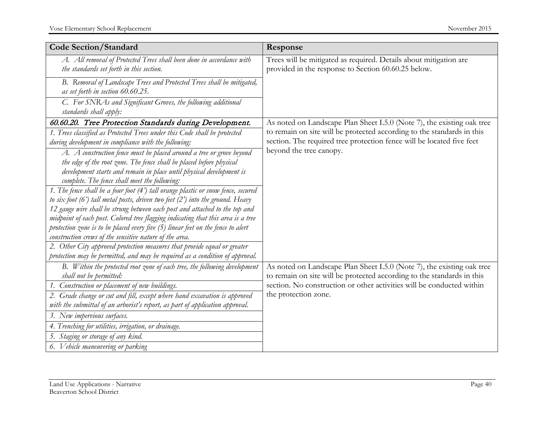| <b>Code Section/Standard</b>                                                                                                                                                                                                                                          | Response                                                                                                                                        |
|-----------------------------------------------------------------------------------------------------------------------------------------------------------------------------------------------------------------------------------------------------------------------|-------------------------------------------------------------------------------------------------------------------------------------------------|
| A. All removal of Protected Trees shall been done in accordance with<br>the standards set forth in this section.                                                                                                                                                      | Trees will be mitigated as required. Details about mitigation are<br>provided in the response to Section 60.60.25 below.                        |
| B. Removal of Landscape Trees and Protected Trees shall be mitigated,<br>as set forth in section 60.60.25.                                                                                                                                                            |                                                                                                                                                 |
| C. For SNRAs and Significant Groves, the following additional<br>standards shall apply:                                                                                                                                                                               |                                                                                                                                                 |
| 60.60.20. Tree Protection Standards during Development.                                                                                                                                                                                                               | As noted on Landscape Plan Sheet L5.0 (Note 7), the existing oak tree                                                                           |
| 1. Trees classified as Protected Trees under this Code shall be protected<br>during development in compliance with the following:                                                                                                                                     | to remain on site will be protected according to the standards in this<br>section. The required tree protection fence will be located five feet |
| A. A construction fence must be placed around a tree or grove beyond<br>the edge of the root zone. The fence shall be placed before physical<br>development starts and remain in place until physical development is<br>complete. The fence shall meet the following: | beyond the tree canopy.                                                                                                                         |
| 1. The fence shall be a four foot (4') tall orange plastic or snow fence, secured<br>to six foot $(6')$ tall metal posts, driven two feet $(2')$ into the ground. Heavy                                                                                               |                                                                                                                                                 |
| 12 gauge wire shall be strung between each post and attached to the top and                                                                                                                                                                                           |                                                                                                                                                 |
| midpoint of each post. Colored tree flagging indicating that this area is a tree                                                                                                                                                                                      |                                                                                                                                                 |
| protection zone is to be placed every five (5) linear feet on the fence to alert<br>construction crews of the sensitive nature of the area.                                                                                                                           |                                                                                                                                                 |
| 2. Other City approved protection measures that provide equal or greater                                                                                                                                                                                              |                                                                                                                                                 |
| protection may be permitted, and may be required as a condition of approval.                                                                                                                                                                                          |                                                                                                                                                 |
| B. Within the protected root zone of each tree, the following development<br>shall not be permitted:                                                                                                                                                                  | As noted on Landscape Plan Sheet L5.0 (Note 7), the existing oak tree<br>to remain on site will be protected according to the standards in this |
| 1. Construction or placement of new buildings.                                                                                                                                                                                                                        | section. No construction or other activities will be conducted within                                                                           |
| 2. Grade change or cut and fill, except where hand excavation is approved<br>with the submittal of an arborist's report, as part of application approval.                                                                                                             | the protection zone.                                                                                                                            |
| 3. New impervious surfaces.                                                                                                                                                                                                                                           |                                                                                                                                                 |
| 4. Trenching for utilities, irrigation, or drainage.                                                                                                                                                                                                                  |                                                                                                                                                 |
| 5. Staging or storage of any kind.                                                                                                                                                                                                                                    |                                                                                                                                                 |
| 6. Vehicle maneuvering or parking                                                                                                                                                                                                                                     |                                                                                                                                                 |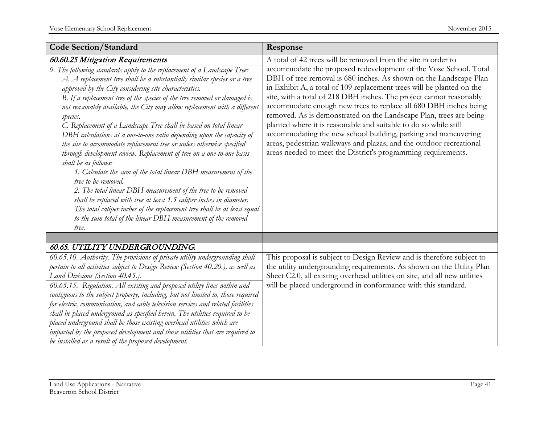| <b>Code Section/Standard</b>                                                                                                                                                                                                                                                                                                                                                                                                                                                                                                                                                                                                                                                                                                                                                                                                                                                                                                                                                                                                                                                                           | Response                                                                                                                                                                                                                                                                                                                                                                                                                                                                                                                                                                                                                                                                                                      |
|--------------------------------------------------------------------------------------------------------------------------------------------------------------------------------------------------------------------------------------------------------------------------------------------------------------------------------------------------------------------------------------------------------------------------------------------------------------------------------------------------------------------------------------------------------------------------------------------------------------------------------------------------------------------------------------------------------------------------------------------------------------------------------------------------------------------------------------------------------------------------------------------------------------------------------------------------------------------------------------------------------------------------------------------------------------------------------------------------------|---------------------------------------------------------------------------------------------------------------------------------------------------------------------------------------------------------------------------------------------------------------------------------------------------------------------------------------------------------------------------------------------------------------------------------------------------------------------------------------------------------------------------------------------------------------------------------------------------------------------------------------------------------------------------------------------------------------|
| 60.60.25 Mitigation Requirements                                                                                                                                                                                                                                                                                                                                                                                                                                                                                                                                                                                                                                                                                                                                                                                                                                                                                                                                                                                                                                                                       | A total of 42 trees will be removed from the site in order to                                                                                                                                                                                                                                                                                                                                                                                                                                                                                                                                                                                                                                                 |
| 9. The following standards apply to the replacement of a Landscape Tree:<br>A. A replacement tree shall be a substantially similar species or a tree<br>approved by the City considering site characteristics.<br>B. If a replacement tree of the species of the tree removed or damaged is<br>not reasonably available, the City may allow replacement with a different<br>species.<br>C. Replacement of a Landscape Tree shall be based on total linear<br>DBH calculations at a one-to-one ratio depending upon the capacity of<br>the site to accommodate replacement tree or unless otherwise specified<br>through development review. Replacement of tree on a one-to-one basis<br>shall be as follows:<br>1. Calculate the sum of the total linear DBH measurement of the<br>tree to be removed.<br>2. The total linear DBH measurement of the tree to be removed<br>shall be replaced with tree at least 1.5 caliper inches in diameter.<br>The total caliper inches of the replacement tree shall be at least equal<br>to the sum total of the linear DBH measurement of the removed<br>tree. | accommodate the proposed redevelopment of the Vose School. Total<br>DBH of tree removal is 680 inches. As shown on the Landscape Plan<br>in Exhibit A, a total of 109 replacement trees will be planted on the<br>site, with a total of 218 DBH inches. The project cannot reasonably<br>accommodate enough new trees to replace all 680 DBH inches being<br>removed. As is demonstrated on the Landscape Plan, trees are being<br>planted where it is reasonable and suitable to do so while still<br>accommodating the new school building, parking and maneuvering<br>areas, pedestrian walkways and plazas, and the outdoor recreational<br>areas needed to meet the District's programming requirements. |
|                                                                                                                                                                                                                                                                                                                                                                                                                                                                                                                                                                                                                                                                                                                                                                                                                                                                                                                                                                                                                                                                                                        |                                                                                                                                                                                                                                                                                                                                                                                                                                                                                                                                                                                                                                                                                                               |
| 60.65. UTILITY UNDER GROUNDING.                                                                                                                                                                                                                                                                                                                                                                                                                                                                                                                                                                                                                                                                                                                                                                                                                                                                                                                                                                                                                                                                        |                                                                                                                                                                                                                                                                                                                                                                                                                                                                                                                                                                                                                                                                                                               |
| 60.65.10. Authority. The provisions of private utility undergrounding shall<br>pertain to all activities subject to Design Review (Section 40.20.), as well as<br>Land Divisions (Section 40.45.).<br>60.65.15. Regulation. All existing and proposed utility lines within and<br>contiguous to the subject property, including, but not limited to, those required<br>for electric, communication, and cable television services and related facilities<br>shall be placed underground as specified herein. The utilities required to be<br>placed underground shall be those existing overhead utilities which are<br>impacted by the proposed development and those utilities that are required to<br>be installed as a result of the proposed development.                                                                                                                                                                                                                                                                                                                                         | This proposal is subject to Design Review and is therefore subject to<br>the utility undergrounding requirements. As shown on the Utility Plan<br>Sheet C2.0, all existing overhead utilities on site, and all new utilities<br>will be placed underground in conformance with this standard.                                                                                                                                                                                                                                                                                                                                                                                                                 |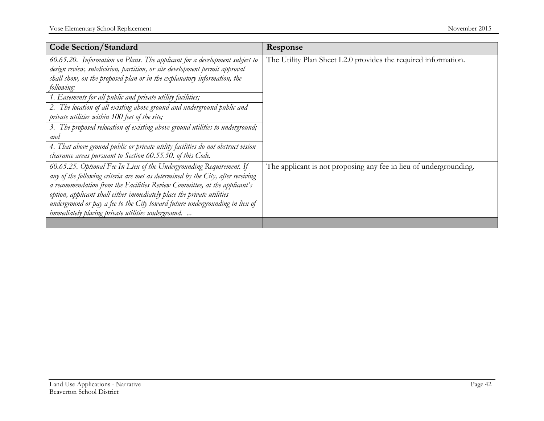| <b>Code Section/Standard</b>                                                     | Response                                                          |
|----------------------------------------------------------------------------------|-------------------------------------------------------------------|
| 60.65.20. Information on Plans. The applicant for a development subject to       | The Utility Plan Sheet L2.0 provides the required information.    |
| design review, subdivision, partition, or site development permit approval       |                                                                   |
| shall show, on the proposed plan or in the explanatory information, the          |                                                                   |
| following:                                                                       |                                                                   |
| 1. Easements for all public and private utility facilities;                      |                                                                   |
| 2. The location of all existing above ground and underground public and          |                                                                   |
| private utilities within 100 feet of the site;                                   |                                                                   |
| 3. The proposed relocation of existing above ground utilities to underground;    |                                                                   |
| and                                                                              |                                                                   |
| 4. That above ground public or private utility facilities do not obstruct vision |                                                                   |
| clearance areas pursuant to Section 60.55.50. of this Code.                      |                                                                   |
| 60.65.25. Optional Fee In Lieu of the Undergrounding Requirement. If             | The applicant is not proposing any fee in lieu of undergrounding. |
| any of the following criteria are met as determined by the City, after receiving |                                                                   |
| a recommendation from the Facilities Review Committee, at the applicant's        |                                                                   |
| option, applicant shall either immediately place the private utilities           |                                                                   |
| underground or pay a fee to the City toward future undergrounding in lieu of     |                                                                   |
| immediately placing private utilities underground.                               |                                                                   |
|                                                                                  |                                                                   |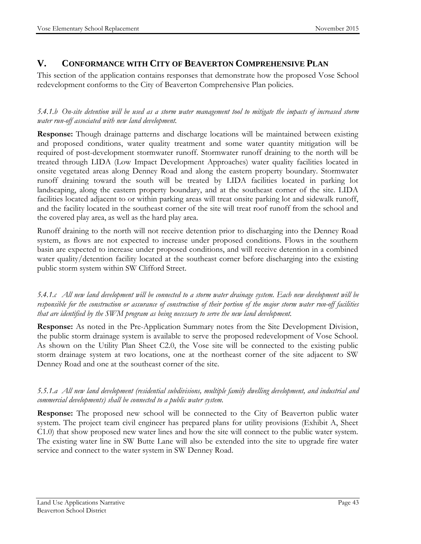#### **V. CONFORMANCE WITH CITY OF BEAVERTON COMPREHENSIVE PLAN**

This section of the application contains responses that demonstrate how the proposed Vose School redevelopment conforms to the City of Beaverton Comprehensive Plan policies.

#### *5.4.1.b On-site detention will be used as a storm water management tool to mitigate the impacts of increased storm water run-off associated with new land development.*

**Response:** Though drainage patterns and discharge locations will be maintained between existing and proposed conditions, water quality treatment and some water quantity mitigation will be required of post-development stormwater runoff. Stormwater runoff draining to the north will be treated through LIDA (Low Impact Development Approaches) water quality facilities located in onsite vegetated areas along Denney Road and along the eastern property boundary. Stormwater runoff draining toward the south will be treated by LIDA facilities located in parking lot landscaping, along the eastern property boundary, and at the southeast corner of the site. LIDA facilities located adjacent to or within parking areas will treat onsite parking lot and sidewalk runoff, and the facility located in the southeast corner of the site will treat roof runoff from the school and the covered play area, as well as the hard play area.

Runoff draining to the north will not receive detention prior to discharging into the Denney Road system, as flows are not expected to increase under proposed conditions. Flows in the southern basin are expected to increase under proposed conditions, and will receive detention in a combined water quality/detention facility located at the southeast corner before discharging into the existing public storm system within SW Clifford Street.

*5.4.1.c All new land development will be connected to a storm water drainage system. Each new development will be responsible for the construction or assurance of construction of their portion of the major storm water run-off facilities that are identified by the SWM program as being necessary to serve the new land development.*

**Response:** As noted in the Pre-Application Summary notes from the Site Development Division, the public storm drainage system is available to serve the proposed redevelopment of Vose School. As shown on the Utility Plan Sheet C2.0, the Vose site will be connected to the existing public storm drainage system at two locations, one at the northeast corner of the site adjacent to SW Denney Road and one at the southeast corner of the site.

#### *5.5.1.a All new land development (residential subdivisions, multiple family dwelling development, and industrial and commercial developments) shall be connected to a public water system.*

**Response:** The proposed new school will be connected to the City of Beaverton public water system. The project team civil engineer has prepared plans for utility provisions (Exhibit A, Sheet C1.0) that show proposed new water lines and how the site will connect to the public water system. The existing water line in SW Butte Lane will also be extended into the site to upgrade fire water service and connect to the water system in SW Denney Road.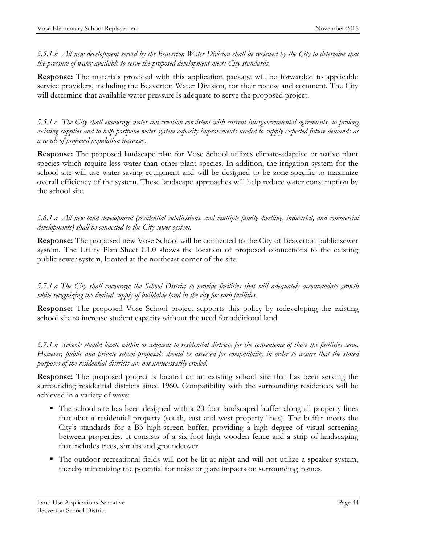*5.5.1.b All new development served by the Beaverton Water Division shall be reviewed by the City to determine that the pressure of water available to serve the proposed development meets City standards.*

**Response:** The materials provided with this application package will be forwarded to applicable service providers, including the Beaverton Water Division, for their review and comment. The City will determine that available water pressure is adequate to serve the proposed project.

*5.5.1.c The City shall encourage water conservation consistent with current intergovernmental agreements, to prolong existing supplies and to help postpone water system capacity improvements needed to supply expected future demands as a result of projected population increases.*

**Response:** The proposed landscape plan for Vose School utilizes climate-adaptive or native plant species which require less water than other plant species. In addition, the irrigation system for the school site will use water-saving equipment and will be designed to be zone-specific to maximize overall efficiency of the system. These landscape approaches will help reduce water consumption by the school site.

*5.6.1.a All new land development (residential subdivisions, and multiple family dwelling, industrial, and commercial developments) shall be connected to the City sewer system.*

**Response:** The proposed new Vose School will be connected to the City of Beaverton public sewer system. The Utility Plan Sheet C1.0 shows the location of proposed connections to the existing public sewer system, located at the northeast corner of the site.

*5.7.1.a The City shall encourage the School District to provide facilities that will adequately accommodate growth while recognizing the limited supply of buildable land in the city for such facilities.*

**Response:** The proposed Vose School project supports this policy by redeveloping the existing school site to increase student capacity without the need for additional land.

*5.7.1.b Schools should locate within or adjacent to residential districts for the convenience of those the facilities serve. However, public and private school proposals should be assessed for compatibility in order to assure that the stated purposes of the residential districts are not unnecessarily eroded.*

**Response:** The proposed project is located on an existing school site that has been serving the surrounding residential districts since 1960. Compatibility with the surrounding residences will be achieved in a variety of ways:

- The school site has been designed with a 20-foot landscaped buffer along all property lines that abut a residential property (south, east and west property lines). The buffer meets the City's standards for a B3 high-screen buffer, providing a high degree of visual screening between properties. It consists of a six-foot high wooden fence and a strip of landscaping that includes trees, shrubs and groundcover.
- The outdoor recreational fields will not be lit at night and will not utilize a speaker system, thereby minimizing the potential for noise or glare impacts on surrounding homes.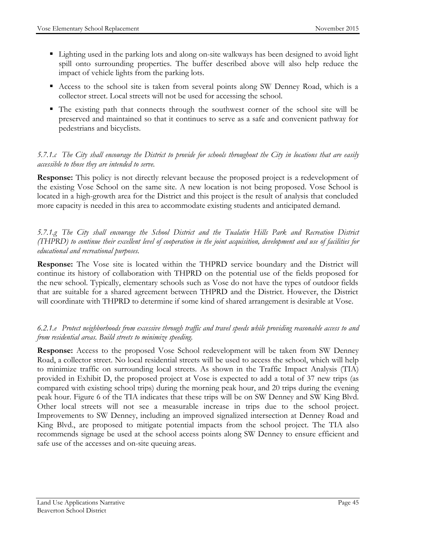- Lighting used in the parking lots and along on-site walkways has been designed to avoid light spill onto surrounding properties. The buffer described above will also help reduce the impact of vehicle lights from the parking lots.
- Access to the school site is taken from several points along SW Denney Road, which is a collector street. Local streets will not be used for accessing the school.
- The existing path that connects through the southwest corner of the school site will be preserved and maintained so that it continues to serve as a safe and convenient pathway for pedestrians and bicyclists.

#### *5.7.1.c The City shall encourage the District to provide for schools throughout the City in locations that are easily accessible to those they are intended to serve.*

**Response:** This policy is not directly relevant because the proposed project is a redevelopment of the existing Vose School on the same site. A new location is not being proposed. Vose School is located in a high-growth area for the District and this project is the result of analysis that concluded more capacity is needed in this area to accommodate existing students and anticipated demand.

*5.7.1.g The City shall encourage the School District and the Tualatin Hills Park and Recreation District (THPRD) to continue their excellent level of cooperation in the joint acquisition, development and use of facilities for educational and recreational purposes.*

**Response:** The Vose site is located within the THPRD service boundary and the District will continue its history of collaboration with THPRD on the potential use of the fields proposed for the new school. Typically, elementary schools such as Vose do not have the types of outdoor fields that are suitable for a shared agreement between THPRD and the District. However, the District will coordinate with THPRD to determine if some kind of shared arrangement is desirable at Vose.

#### *6.2.1.e Protect neighborhoods from excessive through traffic and travel speeds while providing reasonable access to and from residential areas. Build streets to minimize speeding.*

**Response:** Access to the proposed Vose School redevelopment will be taken from SW Denney Road, a collector street. No local residential streets will be used to access the school, which will help to minimize traffic on surrounding local streets. As shown in the Traffic Impact Analysis (TIA) provided in Exhibit D, the proposed project at Vose is expected to add a total of 37 new trips (as compared with existing school trips) during the morning peak hour, and 20 trips during the evening peak hour. Figure 6 of the TIA indicates that these trips will be on SW Denney and SW King Blvd. Other local streets will not see a measurable increase in trips due to the school project. Improvements to SW Denney, including an improved signalized intersection at Denney Road and King Blvd., are proposed to mitigate potential impacts from the school project. The TIA also recommends signage be used at the school access points along SW Denney to ensure efficient and safe use of the accesses and on-site queuing areas.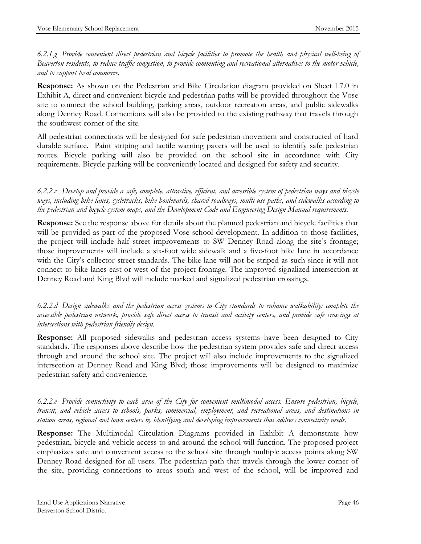*6.2.1.g Provide convenient direct pedestrian and bicycle facilities to promote the health and physical well-being of Beaverton residents, to reduce traffic congestion, to provide commuting and recreational alternatives to the motor vehicle, and to support local commerce.*

**Response:** As shown on the Pedestrian and Bike Circulation diagram provided on Sheet L7.0 in Exhibit A, direct and convenient bicycle and pedestrian paths will be provided throughout the Vose site to connect the school building, parking areas, outdoor recreation areas, and public sidewalks along Denney Road. Connections will also be provided to the existing pathway that travels through the southwest corner of the site.

All pedestrian connections will be designed for safe pedestrian movement and constructed of hard durable surface. Paint striping and tactile warning pavers will be used to identify safe pedestrian routes. Bicycle parking will also be provided on the school site in accordance with City requirements. Bicycle parking will be conveniently located and designed for safety and security.

*6.2.2.c Develop and provide a safe, complete, attractive, efficient, and accessible system of pedestrian ways and bicycle ways, including bike lanes, cycletracks, bike boulevards, shared roadways, multi-use paths, and sidewalks according to the pedestrian and bicycle system maps, and the Development Code and Engineering Design Manual requirements.*

**Response:** See the response above for details about the planned pedestrian and bicycle facilities that will be provided as part of the proposed Vose school development. In addition to those facilities, the project will include half street improvements to SW Denney Road along the site's frontage; those improvements will include a six-foot wide sidewalk and a five-foot bike lane in accordance with the City's collector street standards. The bike lane will not be striped as such since it will not connect to bike lanes east or west of the project frontage. The improved signalized intersection at Denney Road and King Blvd will include marked and signalized pedestrian crossings.

*6.2.2.d Design sidewalks and the pedestrian access systems to City standards to enhance walkability: complete the accessible pedestrian network, provide safe direct access to transit and activity centers, and provide safe crossings at intersections with pedestrian friendly design.*

**Response:** All proposed sidewalks and pedestrian access systems have been designed to City standards. The responses above describe how the pedestrian system provides safe and direct access through and around the school site. The project will also include improvements to the signalized intersection at Denney Road and King Blvd; those improvements will be designed to maximize pedestrian safety and convenience.

*6.2.2.e Provide connectivity to each area of the City for convenient multimodal access. Ensure pedestrian, bicycle, transit, and vehicle access to schools, parks, commercial, employment, and recreational areas, and destinations in station areas, regional and town centers by identifying and developing improvements that address connectivity needs.*

**Response:** The Multimodal Circulation Diagrams provided in Exhibit A demonstrate how pedestrian, bicycle and vehicle access to and around the school will function. The proposed project emphasizes safe and convenient access to the school site through multiple access points along SW Denney Road designed for all users. The pedestrian path that travels through the lower corner of the site, providing connections to areas south and west of the school, will be improved and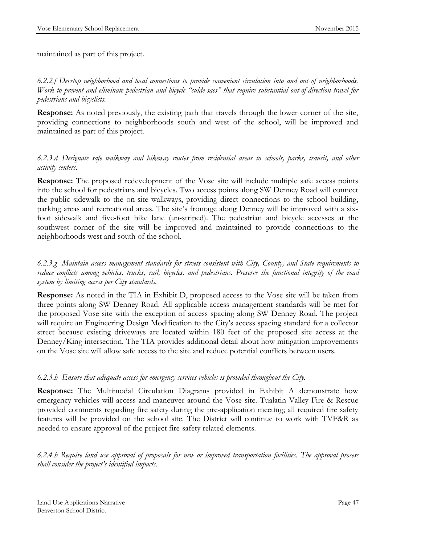maintained as part of this project.

*6.2.2.f Develop neighborhood and local connections to provide convenient circulation into and out of neighborhoods. Work to prevent and eliminate pedestrian and bicycle "culde-sacs" that require substantial out-of-direction travel for pedestrians and bicyclists*.

**Response:** As noted previously, the existing path that travels through the lower corner of the site, providing connections to neighborhoods south and west of the school, will be improved and maintained as part of this project.

*6.2.3.d Designate safe walkway and bikeway routes from residential areas to schools, parks, transit, and other activity centers.*

**Response:** The proposed redevelopment of the Vose site will include multiple safe access points into the school for pedestrians and bicycles. Two access points along SW Denney Road will connect the public sidewalk to the on-site walkways, providing direct connections to the school building, parking areas and recreational areas. The site's frontage along Denney will be improved with a sixfoot sidewalk and five-foot bike lane (un-striped). The pedestrian and bicycle accesses at the southwest corner of the site will be improved and maintained to provide connections to the neighborhoods west and south of the school.

*6.2.3.g Maintain access management standards for streets consistent with City, County, and State requirements to reduce conflicts among vehicles, trucks, rail, bicycles, and pedestrians. Preserve the functional integrity of the road system by limiting access per City standards.* 

**Response:** As noted in the TIA in Exhibit D, proposed access to the Vose site will be taken from three points along SW Denney Road. All applicable access management standards will be met for the proposed Vose site with the exception of access spacing along SW Denney Road. The project will require an Engineering Design Modification to the City's access spacing standard for a collector street because existing driveways are located within 180 feet of the proposed site access at the Denney/King intersection. The TIA provides additional detail about how mitigation improvements on the Vose site will allow safe access to the site and reduce potential conflicts between users.

#### *6.2.3.h Ensure that adequate access for emergency services vehicles is provided throughout the City.*

**Response:** The Multimodal Circulation Diagrams provided in Exhibit A demonstrate how emergency vehicles will access and maneuver around the Vose site. Tualatin Valley Fire & Rescue provided comments regarding fire safety during the pre-application meeting; all required fire safety features will be provided on the school site. The District will continue to work with TVF&R as needed to ensure approval of the project fire-safety related elements.

*6.2.4.h Require land use approval of proposals for new or improved transportation facilities. The approval process shall consider the project's identified impacts.*